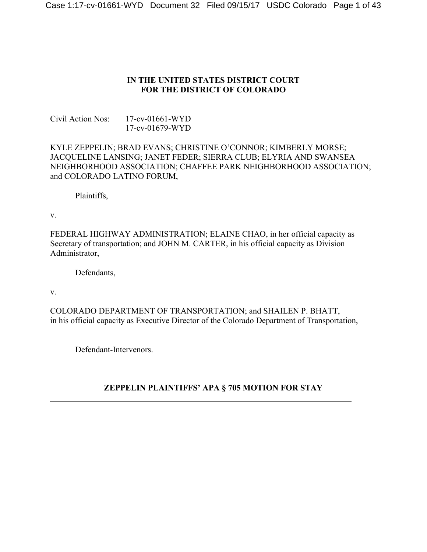## **IN THE UNITED STATES DISTRICT COURT FOR THE DISTRICT OF COLORADO**

Civil Action Nos: 17-cv-01661-WYD 17-cv-01679-WYD

## KYLE ZEPPELIN; BRAD EVANS; CHRISTINE O'CONNOR; KIMBERLY MORSE; JACQUELINE LANSING; JANET FEDER; SIERRA CLUB; ELYRIA AND SWANSEA NEIGHBORHOOD ASSOCIATION; CHAFFEE PARK NEIGHBORHOOD ASSOCIATION; and COLORADO LATINO FORUM,

Plaintiffs,

v.

FEDERAL HIGHWAY ADMINISTRATION; ELAINE CHAO, in her official capacity as Secretary of transportation; and JOHN M. CARTER, in his official capacity as Division Administrator,

Defendants,

v.

COLORADO DEPARTMENT OF TRANSPORTATION; and SHAILEN P. BHATT, in his official capacity as Executive Director of the Colorado Department of Transportation,

Defendant-Intervenors.

# **ZEPPELIN PLAINTIFFS' APA § 705 MOTION FOR STAY**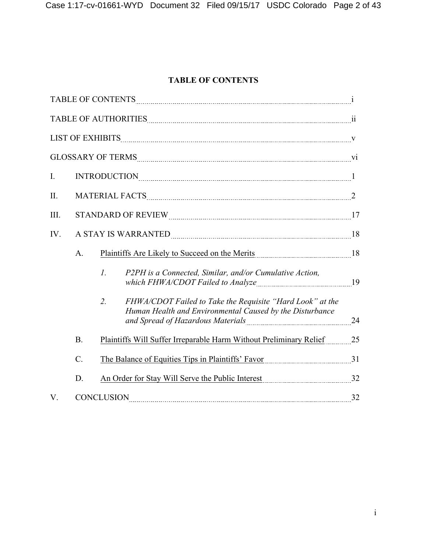## **TABLE OF CONTENTS**

|             |                 | $\textbf{TABLE OF CONTENTS} \begin{minipage}{14.5\textwidth} \centering \begin{tabular}{ c c c c } \hline \textbf{TABLE OF CONTENTS} & \textbf{0.00015} & \textbf{0.0016} & \textbf{0.0016} & \textbf{0.0016} & \textbf{0.0016} & \textbf{0.0016} & \textbf{0.0016} & \textbf{0.0016} & \textbf{0.0016} & \textbf{0.0016} & \textbf{0.0016} & \textbf{0.0016} & \textbf{0.0016} & \textbf{0.0$ |    |
|-------------|-----------------|------------------------------------------------------------------------------------------------------------------------------------------------------------------------------------------------------------------------------------------------------------------------------------------------------------------------------------------------------------------------------------------------|----|
|             |                 | $\bf{TABLE~OF~AUTHORITIES} \label{thm:1} \begin{minipage}{0.9\linewidth} \textbf{TABLE~OF~AUTHORITIES} \end{minipage}$                                                                                                                                                                                                                                                                         |    |
|             |                 | $\textbf{LIST OF EXHIBITS} \label{eq:1} \begin{minipage}{0.9\linewidth} \textbf{LIST OF EXHIBITS} \end{minipage}$                                                                                                                                                                                                                                                                              |    |
|             |                 | GLOSSARY OF TERMS VI                                                                                                                                                                                                                                                                                                                                                                           |    |
| $I_{\cdot}$ |                 | $\label{eq:3} \text{INTRODUCTION}_{\textcolor{red}{\textbf{1}}}\text{1}$                                                                                                                                                                                                                                                                                                                       |    |
| II.         |                 |                                                                                                                                                                                                                                                                                                                                                                                                |    |
| III.        |                 |                                                                                                                                                                                                                                                                                                                                                                                                |    |
| IV.         |                 |                                                                                                                                                                                                                                                                                                                                                                                                | 18 |
|             | A.              |                                                                                                                                                                                                                                                                                                                                                                                                |    |
|             |                 | $\mathcal{I}$ .<br>P2PH is a Connected, Similar, and/or Cumulative Action,<br>which FHWA/CDOT Failed to Analyze                                                                                                                                                                                                                                                                                | 19 |
|             |                 | $\overline{2}$ .<br>FHWA/CDOT Failed to Take the Requisite "Hard Look" at the<br>Human Health and Environmental Caused by the Disturbance                                                                                                                                                                                                                                                      |    |
|             | <b>B.</b>       | Plaintiffs Will Suffer Irreparable Harm Without Preliminary Relief                                                                                                                                                                                                                                                                                                                             | 25 |
|             | $\mathcal{C}$ . | The Balance of Equities Tips in Plaintiffs' Favor 1997 11 Manuseum 11                                                                                                                                                                                                                                                                                                                          |    |
|             | D.              | An Order for Stay Will Serve the Public Interest 32                                                                                                                                                                                                                                                                                                                                            |    |
| V.          |                 | <b>CONCLUSION</b>                                                                                                                                                                                                                                                                                                                                                                              | 32 |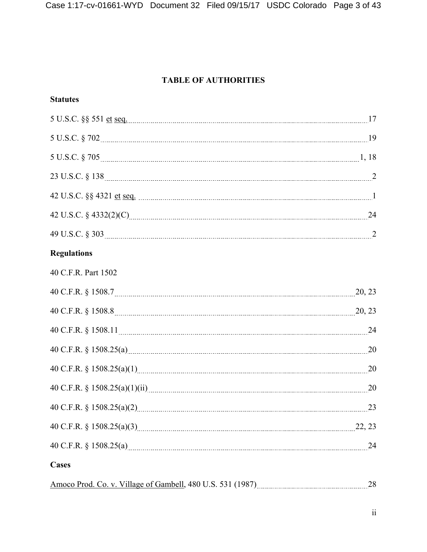## **TABLE OF AUTHORITIES**

| <b>Statutes</b> |  |
|-----------------|--|
|-----------------|--|

| 5 U.S.C. §§ 551 <u>et seq. [17]</u>                                                                                                                                                                                            |        |
|--------------------------------------------------------------------------------------------------------------------------------------------------------------------------------------------------------------------------------|--------|
|                                                                                                                                                                                                                                |        |
|                                                                                                                                                                                                                                |        |
|                                                                                                                                                                                                                                |        |
|                                                                                                                                                                                                                                |        |
|                                                                                                                                                                                                                                | 24     |
|                                                                                                                                                                                                                                |        |
| <b>Regulations</b>                                                                                                                                                                                                             |        |
| 40 C.F.R. Part 1502                                                                                                                                                                                                            |        |
|                                                                                                                                                                                                                                | 20, 23 |
| 40 C.F.R. § 1508.8 23                                                                                                                                                                                                          |        |
| 40 C.F.R. § 1508.11 24                                                                                                                                                                                                         |        |
| 40 C.F.R. § 1508.25(a) 2008 25(a) 2008 25(b) 3.508.25(a) 2.508.25(a) 3.508.25(a) 3.508.25(a) 3.508.25(a) 3.508.25(a) 3.508.25(a) 3.508.25(a) 3.508.25(a) 3.508.25(a) 3.508.25(a) 3.508.25(a) 3.508.25(a) 3.508.25(a) 3.508.25( | 20     |
|                                                                                                                                                                                                                                | 20     |
|                                                                                                                                                                                                                                | 20     |
|                                                                                                                                                                                                                                | 23     |
|                                                                                                                                                                                                                                | 22, 23 |
|                                                                                                                                                                                                                                | 24     |
| <b>Cases</b>                                                                                                                                                                                                                   |        |
|                                                                                                                                                                                                                                | 28     |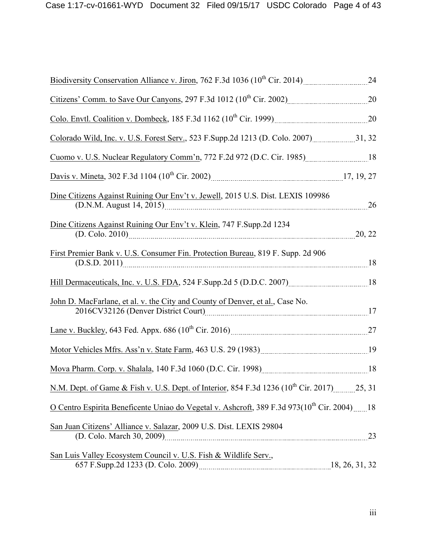| Biodiversity Conservation Alliance v. Jiron, 762 F.3d 1036 ( $10^{th}$ Cir. 2014)                                                                         | 24     |
|-----------------------------------------------------------------------------------------------------------------------------------------------------------|--------|
| Citizens' Comm. to Save Our Canyons, 297 F.3d 1012 (10 <sup>th</sup> Cir. 2002) 20                                                                        |        |
|                                                                                                                                                           |        |
| Colorado Wild, Inc. v. U.S. Forest Serv., 523 F.Supp.2d 1213 (D. Colo. 2007) 31, 32                                                                       |        |
| Cuomo v. U.S. Nuclear Regulatory Comm'n, 772 F.2d 972 (D.C. Cir. 1985) [18] [18]                                                                          |        |
|                                                                                                                                                           |        |
| Dine Citizens Against Ruining Our Env't v. Jewell, 2015 U.S. Dist. LEXIS 109986<br>(D.N.M. August 14, 2015) [2015]                                        | 26     |
| Dine Citizens Against Ruining Our Env't v. Klein, 747 F. Supp. 2d 1234<br>(D. Colo. 2010)                                                                 | 20, 22 |
| First Premier Bank v. U.S. Consumer Fin. Protection Bureau, 819 F. Supp. 2d 906<br>(D.S.D. 2011)                                                          | 18     |
| Hill Dermaceuticals, Inc. v. U.S. FDA, 524 F.Supp.2d 5 (D.D.C. 2007) [18] [18]                                                                            |        |
| John D. MacFarlane, et al. v. the City and County of Denver, et al., Case No.<br>2016CV32126 (Denver District Court) [2016CV32126 (Denver District Court) | 17     |
| Lane v. Buckley, 643 Fed. Appx. 686 (10 <sup>th</sup> Cir. 2016) 27                                                                                       |        |
| Motor Vehicles Mfrs. Ass'n v. State Farm, 463 U.S. 29 (1983) [1983]                                                                                       |        |
|                                                                                                                                                           |        |
| N.M. Dept. of Game & Fish v. U.S. Dept. of Interior, 854 F.3d 1236 (10 <sup>th</sup> Cir. 2017) 25, 31                                                    |        |
| <u>O Centro Espirita Beneficente Uniao do Vegetal v. Ashcroft</u> , 389 F.3d 973(10 <sup>th</sup> Cir. 2004)  18                                          |        |
| San Juan Citizens' Alliance v. Salazar, 2009 U.S. Dist. LEXIS 29804                                                                                       | 23     |
| San Luis Valley Ecosystem Council v. U.S. Fish & Wildlife Serv.,<br>657 F.Supp.2d 1233 (D. Colo. 2009) 2009. [18, 26, 31, 32]                             |        |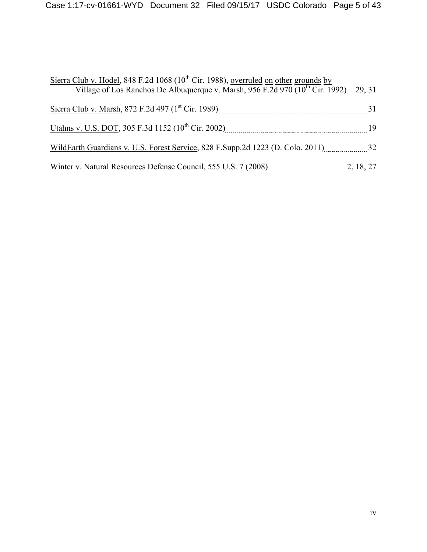| Sierra Club v. Hodel, 848 F.2d 1068 (10 <sup>th</sup> Cir. 1988), overruled on other grounds by<br>Village of Los Ranchos De Albuquerque v. Marsh, 956 F.2d 970 (10 <sup>th</sup> Cir. 1992) 29, 31                                      |  |
|------------------------------------------------------------------------------------------------------------------------------------------------------------------------------------------------------------------------------------------|--|
|                                                                                                                                                                                                                                          |  |
| Utahns v. U.S. DOT, 305 F.3d 1152 (10 <sup>th</sup> Cir. 2002) [101] [101] [101] [101] [101] [101] [101] [101] [101] [101] [101] [101] [101] [101] [101] [101] [101] [101] [101] [101] [101] [101] [101] [101] [101] [101] [101] [101] [ |  |
| WildEarth Guardians v. U.S. Forest Service, 828 F.Supp.2d 1223 (D. Colo. 2011) 32                                                                                                                                                        |  |
| Winter v. Natural Resources Defense Council, 555 U.S. 7 (2008) 2, 18, 27                                                                                                                                                                 |  |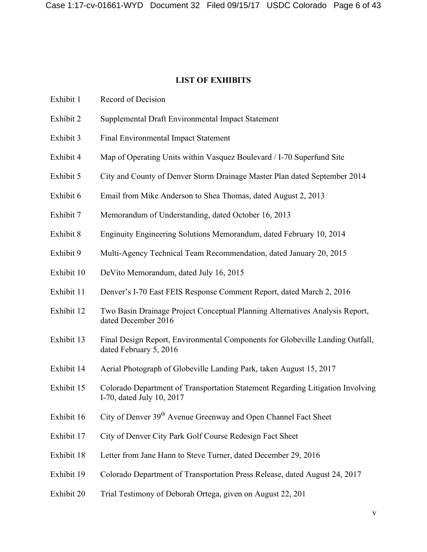### **LIST OF EXHIBITS**

- Exhibit 1 Record of Decision
- Exhibit 2 Supplemental Draft Environmental Impact Statement
- Exhibit 3 Final Environmental Impact Statement
- Exhibit 4 Map of Operating Units within Vasquez Boulevard / I-70 Superfund Site
- Exhibit 5 City and County of Denver Storm Drainage Master Plan dated September 2014
- Exhibit 6 Email from Mike Anderson to Shea Thomas, dated August 2, 2013
- Exhibit 7 Memorandum of Understanding, dated October 16, 2013
- Exhibit 8 Enginuity Engineering Solutions Memorandum, dated February 10, 2014
- Exhibit 9 Multi-Agency Technical Team Recommendation, dated January 20, 2015
- Exhibit 10 DeVito Memorandum, dated July 16, 2015
- Exhibit 11 Denver's I-70 East FEIS Response Comment Report, dated March 2, 2016
- Exhibit 12 Two Basin Drainage Project Conceptual Planning Alternatives Analysis Report, dated December 2016
- Exhibit 13 Final Design Report, Environmental Components for Globeville Landing Outfall, dated February 5, 2016
- Exhibit 14 Aerial Photograph of Globeville Landing Park, taken August 15, 2017
- Exhibit 15 Colorado Department of Transportation Statement Regarding Litigation Involving I-70, dated July 10, 2017
- Exhibit 16 City of Denver  $39<sup>th</sup>$  Avenue Greenway and Open Channel Fact Sheet
- Exhibit 17 City of Denver City Park Golf Course Redesign Fact Sheet
- Exhibit 18 Letter from Jane Hann to Steve Turner, dated December 29, 2016
- Exhibit 19 Colorado Department of Transportation Press Release, dated August 24, 2017
- Exhibit 20 Trial Testimony of Deborah Ortega, given on August 22, 201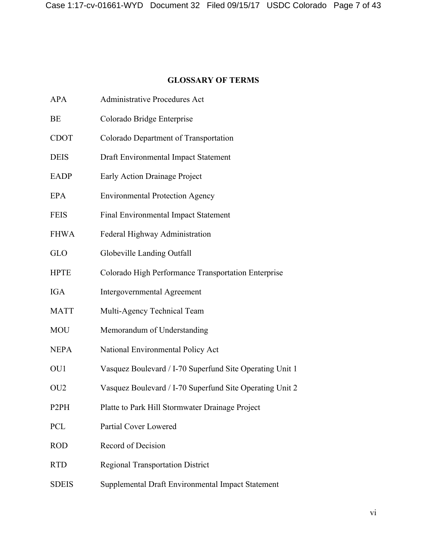## **GLOSSARY OF TERMS**

| BE          | Colorado Bridge Enterprise                               |
|-------------|----------------------------------------------------------|
| CDOT        | Colorado Department of Transportation                    |
| <b>DEIS</b> | Draft Environmental Impact Statement                     |
| <b>EADP</b> | <b>Early Action Drainage Project</b>                     |
| <b>EPA</b>  | <b>Environmental Protection Agency</b>                   |
| <b>FEIS</b> | <b>Final Environmental Impact Statement</b>              |
| <b>FHWA</b> | Federal Highway Administration                           |
| GLO         | Globeville Landing Outfall                               |
| <b>HPTE</b> | Colorado High Performance Transportation Enterprise      |
| IGA         | <b>Intergovernmental Agreement</b>                       |
| <b>MATT</b> | Multi-Agency Technical Team                              |
| MOU         | Memorandum of Understanding                              |
| <b>NEPA</b> | National Environmental Policy Act                        |
| OU1         | Vasquez Boulevard / I-70 Superfund Site Operating Unit 1 |
| OU2         | Vasquez Boulevard / I-70 Superfund Site Operating Unit 2 |
| P2PH        | Platte to Park Hill Stormwater Drainage Project          |
| PCL         | Partial Cover Lowered                                    |
| <b>ROD</b>  | Record of Decision                                       |
| <b>RTD</b>  | <b>Regional Transportation District</b>                  |

APA Administrative Procedures Act

SDEIS Supplemental Draft Environmental Impact Statement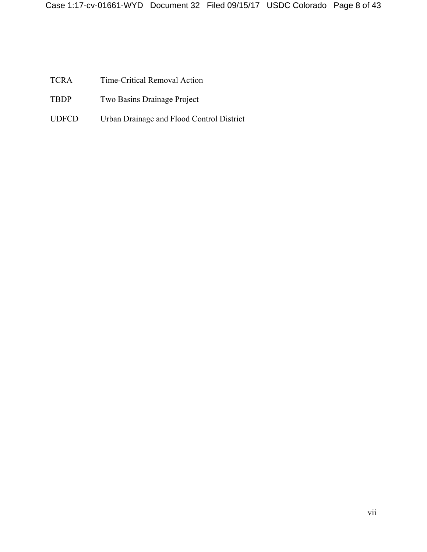TCRA Time-Critical Removal Action

- TBDP Two Basins Drainage Project
- UDFCD Urban Drainage and Flood Control District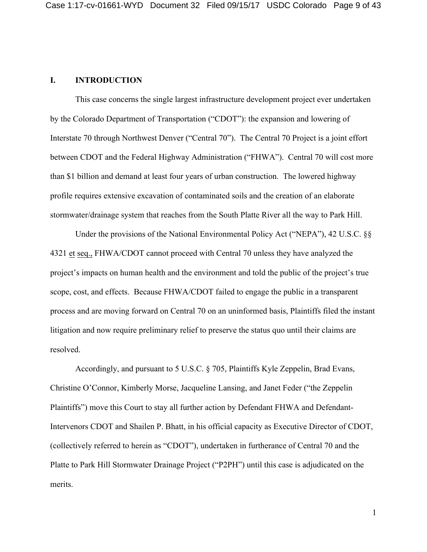### **I. INTRODUCTION**

This case concerns the single largest infrastructure development project ever undertaken by the Colorado Department of Transportation ("CDOT"): the expansion and lowering of Interstate 70 through Northwest Denver ("Central 70"). The Central 70 Project is a joint effort between CDOT and the Federal Highway Administration ("FHWA"). Central 70 will cost more than \$1 billion and demand at least four years of urban construction. The lowered highway profile requires extensive excavation of contaminated soils and the creation of an elaborate stormwater/drainage system that reaches from the South Platte River all the way to Park Hill.

Under the provisions of the National Environmental Policy Act ("NEPA"), 42 U.S.C. §§ 4321 et seq., FHWA/CDOT cannot proceed with Central 70 unless they have analyzed the project's impacts on human health and the environment and told the public of the project's true scope, cost, and effects. Because FHWA/CDOT failed to engage the public in a transparent process and are moving forward on Central 70 on an uninformed basis, Plaintiffs filed the instant litigation and now require preliminary relief to preserve the status quo until their claims are resolved.

Accordingly, and pursuant to 5 U.S.C. § 705, Plaintiffs Kyle Zeppelin, Brad Evans, Christine O'Connor, Kimberly Morse, Jacqueline Lansing, and Janet Feder ("the Zeppelin Plaintiffs") move this Court to stay all further action by Defendant FHWA and Defendant-Intervenors CDOT and Shailen P. Bhatt, in his official capacity as Executive Director of CDOT, (collectively referred to herein as "CDOT"), undertaken in furtherance of Central 70 and the Platte to Park Hill Stormwater Drainage Project ("P2PH") until this case is adjudicated on the merits.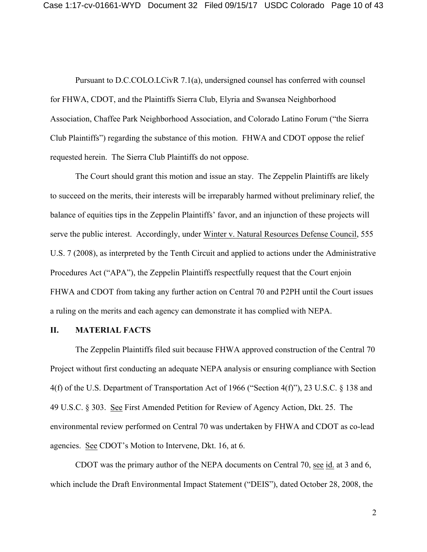Pursuant to D.C.COLO.LCivR 7.1(a), undersigned counsel has conferred with counsel for FHWA, CDOT, and the Plaintiffs Sierra Club, Elyria and Swansea Neighborhood Association, Chaffee Park Neighborhood Association, and Colorado Latino Forum ("the Sierra Club Plaintiffs") regarding the substance of this motion. FHWA and CDOT oppose the relief requested herein. The Sierra Club Plaintiffs do not oppose.

The Court should grant this motion and issue an stay. The Zeppelin Plaintiffs are likely to succeed on the merits, their interests will be irreparably harmed without preliminary relief, the balance of equities tips in the Zeppelin Plaintiffs' favor, and an injunction of these projects will serve the public interest. Accordingly, under Winter v. Natural Resources Defense Council, 555 U.S. 7 (2008), as interpreted by the Tenth Circuit and applied to actions under the Administrative Procedures Act ("APA"), the Zeppelin Plaintiffs respectfully request that the Court enjoin FHWA and CDOT from taking any further action on Central 70 and P2PH until the Court issues a ruling on the merits and each agency can demonstrate it has complied with NEPA.

#### **II. MATERIAL FACTS**

The Zeppelin Plaintiffs filed suit because FHWA approved construction of the Central 70 Project without first conducting an adequate NEPA analysis or ensuring compliance with Section 4(f) of the U.S. Department of Transportation Act of 1966 ("Section 4(f)"), 23 U.S.C. § 138 and 49 U.S.C. § 303. See First Amended Petition for Review of Agency Action, Dkt. 25. The environmental review performed on Central 70 was undertaken by FHWA and CDOT as co-lead agencies. See CDOT's Motion to Intervene, Dkt. 16, at 6.

CDOT was the primary author of the NEPA documents on Central 70, see id. at 3 and 6, which include the Draft Environmental Impact Statement ("DEIS"), dated October 28, 2008, the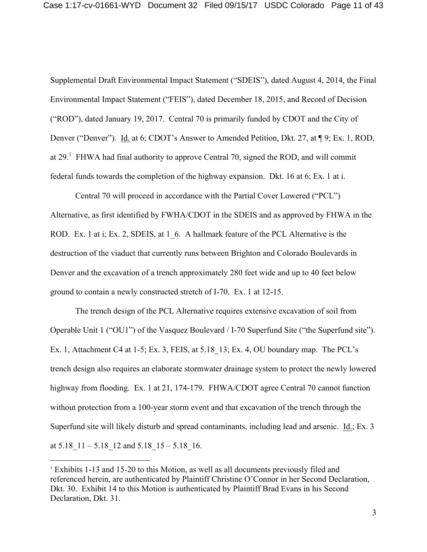Supplemental Draft Environmental Impact Statement ("SDEIS"), dated August 4, 2014, the Final Environmental Impact Statement ("FEIS"), dated December 18, 2015, and Record of Decision ("ROD"), dated January 19, 2017. Central 70 is primarily funded by CDOT and the City of Denver ("Denver"). Id. at 6; CDOT's Answer to Amended Petition, Dkt. 27, at ¶ 9; Ex. 1, ROD, at  $29<sup>1</sup>$  FHWA had final authority to approve Central 70, signed the ROD, and will commit federal funds towards the completion of the highway expansion. Dkt. 16 at 6; Ex. 1 at i.

Central 70 will proceed in accordance with the Partial Cover Lowered ("PCL") Alternative, as first identified by FWHA/CDOT in the SDEIS and as approved by FHWA in the ROD. Ex. 1 at i; Ex. 2, SDEIS, at 1 6. A hallmark feature of the PCL Alternative is the destruction of the viaduct that currently runs between Brighton and Colorado Boulevards in Denver and the excavation of a trench approximately 280 feet wide and up to 40 feet below ground to contain a newly constructed stretch of I-70. Ex. 1 at 12-15.

The trench design of the PCL Alternative requires extensive excavation of soil from Operable Unit 1 ("OU1") of the Vasquez Boulevard / I-70 Superfund Site ("the Superfund site"). Ex. 1, Attachment C4 at 1-5; Ex. 3, FEIS, at 5.18 13; Ex. 4, OU boundary map. The PCL's trench design also requires an elaborate stormwater drainage system to protect the newly lowered highway from flooding. Ex. 1 at 21, 174-179. FHWA/CDOT agree Central 70 cannot function without protection from a 100-year storm event and that excavation of the trench through the Superfund site will likely disturb and spread contaminants, including lead and arsenic. Id.; Ex. 3 at  $5.18$   $11 - 5.18$   $12$  and  $5.18$   $15 - 5.18$  16.

 <sup>1</sup> Exhibits 1-13 and 15-20 to this Motion, as well as all documents previously filed and referenced herein, are authenticated by Plaintiff Christine O'Connor in her Second Declaration, Dkt. 30. Exhibit 14 to this Motion is authenticated by Plaintiff Brad Evans in his Second Declaration, Dkt. 31.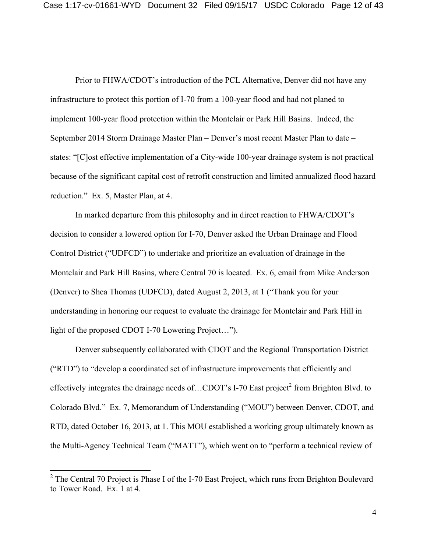Prior to FHWA/CDOT's introduction of the PCL Alternative, Denver did not have any infrastructure to protect this portion of I-70 from a 100-year flood and had not planed to implement 100-year flood protection within the Montclair or Park Hill Basins. Indeed, the September 2014 Storm Drainage Master Plan – Denver's most recent Master Plan to date – states: "[C]ost effective implementation of a City-wide 100-year drainage system is not practical because of the significant capital cost of retrofit construction and limited annualized flood hazard reduction." Ex. 5, Master Plan, at 4.

In marked departure from this philosophy and in direct reaction to FHWA/CDOT's decision to consider a lowered option for I-70, Denver asked the Urban Drainage and Flood Control District ("UDFCD") to undertake and prioritize an evaluation of drainage in the Montclair and Park Hill Basins, where Central 70 is located. Ex. 6, email from Mike Anderson (Denver) to Shea Thomas (UDFCD), dated August 2, 2013, at 1 ("Thank you for your understanding in honoring our request to evaluate the drainage for Montclair and Park Hill in light of the proposed CDOT I-70 Lowering Project…").

Denver subsequently collaborated with CDOT and the Regional Transportation District ("RTD") to "develop a coordinated set of infrastructure improvements that efficiently and effectively integrates the drainage needs of...CDOT's I-70 East project<sup>2</sup> from Brighton Blvd. to Colorado Blvd." Ex. 7, Memorandum of Understanding ("MOU") between Denver, CDOT, and RTD, dated October 16, 2013, at 1. This MOU established a working group ultimately known as the Multi-Agency Technical Team ("MATT"), which went on to "perform a technical review of

<sup>&</sup>lt;sup>2</sup> The Central 70 Project is Phase I of the I-70 East Project, which runs from Brighton Boulevard to Tower Road. Ex. 1 at 4.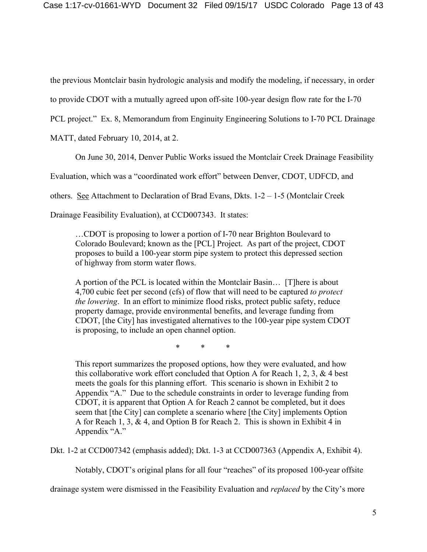the previous Montclair basin hydrologic analysis and modify the modeling, if necessary, in order

to provide CDOT with a mutually agreed upon off-site 100-year design flow rate for the I-70

PCL project." Ex. 8, Memorandum from Enginuity Engineering Solutions to I-70 PCL Drainage

MATT, dated February 10, 2014, at 2.

On June 30, 2014, Denver Public Works issued the Montclair Creek Drainage Feasibility

Evaluation, which was a "coordinated work effort" between Denver, CDOT, UDFCD, and

others. See Attachment to Declaration of Brad Evans, Dkts. 1-2 – 1-5 (Montclair Creek

Drainage Feasibility Evaluation), at CCD007343. It states:

…CDOT is proposing to lower a portion of I-70 near Brighton Boulevard to Colorado Boulevard; known as the [PCL] Project. As part of the project, CDOT proposes to build a 100-year storm pipe system to protect this depressed section of highway from storm water flows.

A portion of the PCL is located within the Montclair Basin… [T]here is about 4,700 cubic feet per second (cfs) of flow that will need to be captured *to protect the lowering*. In an effort to minimize flood risks, protect public safety, reduce property damage, provide environmental benefits, and leverage funding from CDOT, [the City] has investigated alternatives to the 100-year pipe system CDOT is proposing, to include an open channel option.

\* \* \*

This report summarizes the proposed options, how they were evaluated, and how this collaborative work effort concluded that Option A for Reach 1, 2, 3,  $\&$  4 best meets the goals for this planning effort. This scenario is shown in Exhibit 2 to Appendix "A." Due to the schedule constraints in order to leverage funding from CDOT, it is apparent that Option A for Reach 2 cannot be completed, but it does seem that [the City] can complete a scenario where [the City] implements Option A for Reach 1, 3, & 4, and Option B for Reach 2. This is shown in Exhibit 4 in Appendix "A."

Dkt. 1-2 at CCD007342 (emphasis added); Dkt. 1-3 at CCD007363 (Appendix A, Exhibit 4).

Notably, CDOT's original plans for all four "reaches" of its proposed 100-year offsite

drainage system were dismissed in the Feasibility Evaluation and *replaced* by the City's more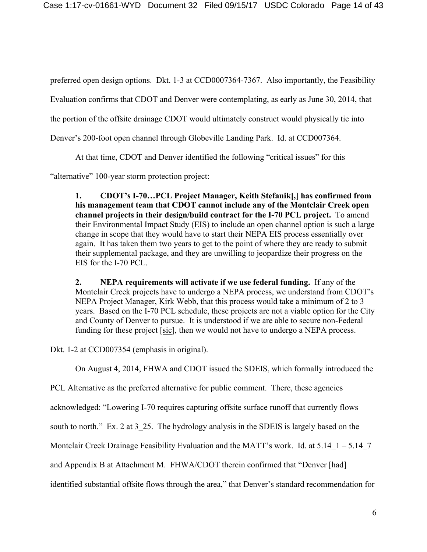preferred open design options. Dkt. 1-3 at CCD0007364-7367. Also importantly, the Feasibility

Evaluation confirms that CDOT and Denver were contemplating, as early as June 30, 2014, that

the portion of the offsite drainage CDOT would ultimately construct would physically tie into

Denver's 200-foot open channel through Globeville Landing Park. Id. at CCD007364.

At that time, CDOT and Denver identified the following "critical issues" for this

"alternative" 100-year storm protection project:

**1. CDOT's I-70…PCL Project Manager, Keith Stefanik[,] has confirmed from his management team that CDOT cannot include any of the Montclair Creek open channel projects in their design/build contract for the I-70 PCL project.** To amend their Environmental Impact Study (EIS) to include an open channel option is such a large change in scope that they would have to start their NEPA EIS process essentially over again. It has taken them two years to get to the point of where they are ready to submit their supplemental package, and they are unwilling to jeopardize their progress on the EIS for the I-70 PCL.

**2. NEPA requirements will activate if we use federal funding.** If any of the Montclair Creek projects have to undergo a NEPA process, we understand from CDOT's NEPA Project Manager, Kirk Webb, that this process would take a minimum of 2 to 3 years. Based on the I-70 PCL schedule, these projects are not a viable option for the City and County of Denver to pursue. It is understood if we are able to secure non-Federal funding for these project [sic], then we would not have to undergo a NEPA process.

Dkt. 1-2 at CCD007354 (emphasis in original).

On August 4, 2014, FHWA and CDOT issued the SDEIS, which formally introduced the

PCL Alternative as the preferred alternative for public comment. There, these agencies

acknowledged: "Lowering I-70 requires capturing offsite surface runoff that currently flows

south to north." Ex. 2 at 3–25. The hydrology analysis in the SDEIS is largely based on the

Montclair Creek Drainage Feasibility Evaluation and the MATT's work. Id. at  $5.14\text{ }1 - 5.14\text{ }7$ 

and Appendix B at Attachment M. FHWA/CDOT therein confirmed that "Denver [had]

identified substantial offsite flows through the area," that Denver's standard recommendation for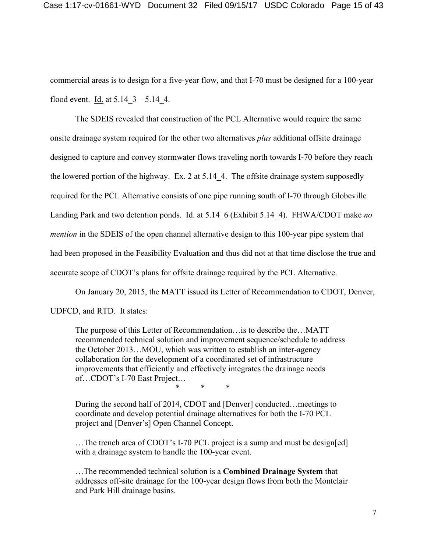commercial areas is to design for a five-year flow, and that I-70 must be designed for a 100-year flood event. Id. at  $5.14\text{ }3 - 5.14\text{ }4.$ 

The SDEIS revealed that construction of the PCL Alternative would require the same onsite drainage system required for the other two alternatives *plus* additional offsite drainage designed to capture and convey stormwater flows traveling north towards I-70 before they reach the lowered portion of the highway. Ex. 2 at 5.14 4. The offsite drainage system supposedly required for the PCL Alternative consists of one pipe running south of I-70 through Globeville Landing Park and two detention ponds. Id. at 5.14\_6 (Exhibit 5.14\_4). FHWA/CDOT make *no mention* in the SDEIS of the open channel alternative design to this 100-year pipe system that had been proposed in the Feasibility Evaluation and thus did not at that time disclose the true and accurate scope of CDOT's plans for offsite drainage required by the PCL Alternative.

On January 20, 2015, the MATT issued its Letter of Recommendation to CDOT, Denver,

UDFCD, and RTD. It states:

The purpose of this Letter of Recommendation…is to describe the…MATT recommended technical solution and improvement sequence/schedule to address the October 2013…MOU, which was written to establish an inter-agency collaboration for the development of a coordinated set of infrastructure improvements that efficiently and effectively integrates the drainage needs of…CDOT's I-70 East Project…

\* \* \*

During the second half of 2014, CDOT and [Denver] conducted…meetings to coordinate and develop potential drainage alternatives for both the I-70 PCL project and [Denver's] Open Channel Concept.

... The trench area of CDOT's I-70 PCL project is a sump and must be design[ed] with a drainage system to handle the 100-year event.

…The recommended technical solution is a **Combined Drainage System** that addresses off-site drainage for the 100-year design flows from both the Montclair and Park Hill drainage basins.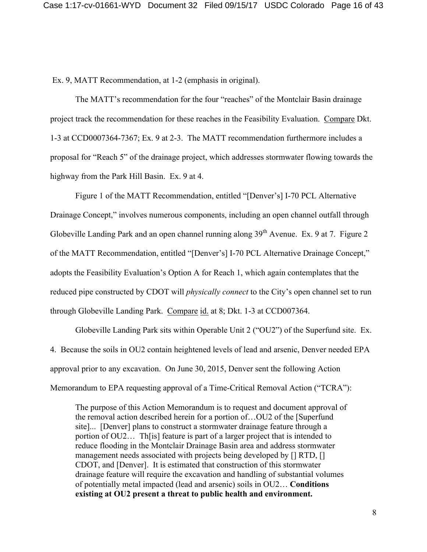Ex. 9, MATT Recommendation, at 1-2 (emphasis in original).

The MATT's recommendation for the four "reaches" of the Montclair Basin drainage project track the recommendation for these reaches in the Feasibility Evaluation. Compare Dkt. 1-3 at CCD0007364-7367; Ex. 9 at 2-3. The MATT recommendation furthermore includes a proposal for "Reach 5" of the drainage project, which addresses stormwater flowing towards the highway from the Park Hill Basin. Ex. 9 at 4.

Figure 1 of the MATT Recommendation, entitled "[Denver's] I-70 PCL Alternative Drainage Concept," involves numerous components, including an open channel outfall through Globeville Landing Park and an open channel running along 39<sup>th</sup> Avenue. Ex. 9 at 7. Figure 2 of the MATT Recommendation, entitled "[Denver's] I-70 PCL Alternative Drainage Concept," adopts the Feasibility Evaluation's Option A for Reach 1, which again contemplates that the reduced pipe constructed by CDOT will *physically connect* to the City's open channel set to run through Globeville Landing Park. Compare id. at 8; Dkt. 1-3 at CCD007364.

Globeville Landing Park sits within Operable Unit 2 ("OU2") of the Superfund site. Ex. 4. Because the soils in OU2 contain heightened levels of lead and arsenic, Denver needed EPA approval prior to any excavation. On June 30, 2015, Denver sent the following Action Memorandum to EPA requesting approval of a Time-Critical Removal Action ("TCRA"):

The purpose of this Action Memorandum is to request and document approval of the removal action described herein for a portion of…OU2 of the [Superfund site]... [Denver] plans to construct a stormwater drainage feature through a portion of OU2… Th[is] feature is part of a larger project that is intended to reduce flooding in the Montclair Drainage Basin area and address stormwater management needs associated with projects being developed by [] RTD, [] CDOT, and [Denver]. It is estimated that construction of this stormwater drainage feature will require the excavation and handling of substantial volumes of potentially metal impacted (lead and arsenic) soils in OU2… **Conditions existing at OU2 present a threat to public health and environment.**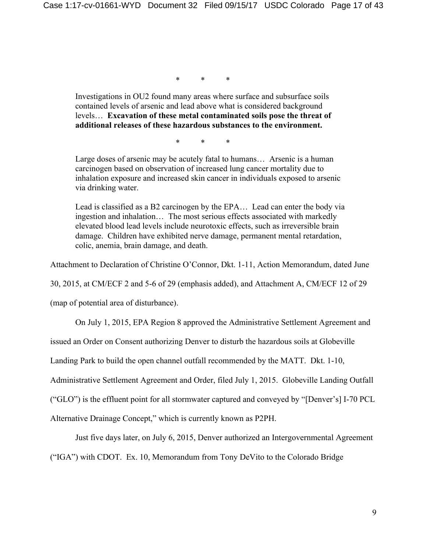\* \* \*

Investigations in OU2 found many areas where surface and subsurface soils contained levels of arsenic and lead above what is considered background levels… **Excavation of these metal contaminated soils pose the threat of additional releases of these hazardous substances to the environment.**

\* \* \*

Large doses of arsenic may be acutely fatal to humans… Arsenic is a human carcinogen based on observation of increased lung cancer mortality due to inhalation exposure and increased skin cancer in individuals exposed to arsenic via drinking water.

Lead is classified as a B2 carcinogen by the EPA… Lead can enter the body via ingestion and inhalation… The most serious effects associated with markedly elevated blood lead levels include neurotoxic effects, such as irreversible brain damage. Children have exhibited nerve damage, permanent mental retardation, colic, anemia, brain damage, and death.

Attachment to Declaration of Christine O'Connor, Dkt. 1-11, Action Memorandum, dated June

30, 2015, at CM/ECF 2 and 5-6 of 29 (emphasis added), and Attachment A, CM/ECF 12 of 29

(map of potential area of disturbance).

On July 1, 2015, EPA Region 8 approved the Administrative Settlement Agreement and

issued an Order on Consent authorizing Denver to disturb the hazardous soils at Globeville

Landing Park to build the open channel outfall recommended by the MATT. Dkt. 1-10,

Administrative Settlement Agreement and Order, filed July 1, 2015. Globeville Landing Outfall

("GLO") is the effluent point for all stormwater captured and conveyed by "[Denver's] I-70 PCL

Alternative Drainage Concept," which is currently known as P2PH.

Just five days later, on July 6, 2015, Denver authorized an Intergovernmental Agreement

("IGA") with CDOT. Ex. 10, Memorandum from Tony DeVito to the Colorado Bridge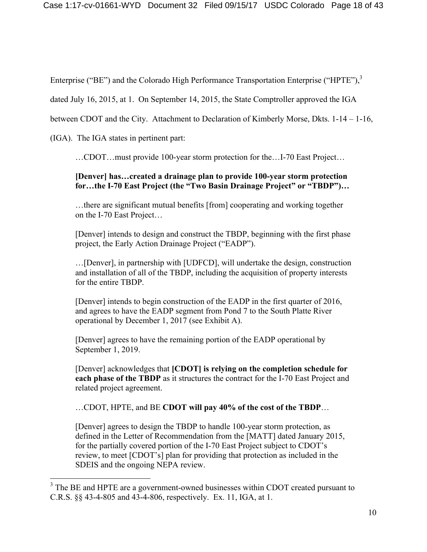Enterprise ("BE") and the Colorado High Performance Transportation Enterprise ("HPTE"),<sup>3</sup>

dated July 16, 2015, at 1. On September 14, 2015, the State Comptroller approved the IGA

between CDOT and the City. Attachment to Declaration of Kimberly Morse, Dkts. 1-14 – 1-16,

(IGA). The IGA states in pertinent part:

…CDOT…must provide 100-year storm protection for the…I-70 East Project…

## **[Denver] has…created a drainage plan to provide 100-year storm protection for…the I-70 East Project (the "Two Basin Drainage Project" or "TBDP")…**

…there are significant mutual benefits [from] cooperating and working together on the I-70 East Project…

[Denver] intends to design and construct the TBDP, beginning with the first phase project, the Early Action Drainage Project ("EADP").

…[Denver], in partnership with [UDFCD], will undertake the design, construction and installation of all of the TBDP, including the acquisition of property interests for the entire TBDP.

[Denver] intends to begin construction of the EADP in the first quarter of 2016, and agrees to have the EADP segment from Pond 7 to the South Platte River operational by December 1, 2017 (see Exhibit A).

[Denver] agrees to have the remaining portion of the EADP operational by September 1, 2019.

[Denver] acknowledges that **[CDOT] is relying on the completion schedule for each phase of the TBDP** as it structures the contract for the I-70 East Project and related project agreement.

…CDOT, HPTE, and BE **CDOT will pay 40% of the cost of the TBDP**…

[Denver] agrees to design the TBDP to handle 100-year storm protection, as defined in the Letter of Recommendation from the [MATT] dated January 2015, for the partially covered portion of the I-70 East Project subject to CDOT's review, to meet [CDOT's] plan for providing that protection as included in the SDEIS and the ongoing NEPA review.

<sup>&</sup>lt;sup>3</sup> The BE and HPTE are a government-owned businesses within CDOT created pursuant to C.R.S. §§ 43-4-805 and 43-4-806, respectively. Ex. 11, IGA, at 1.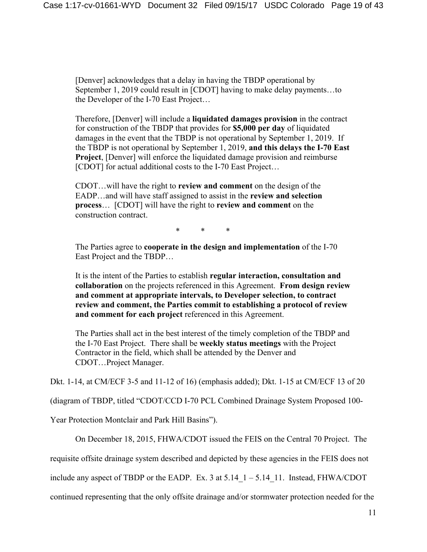[Denver] acknowledges that a delay in having the TBDP operational by September 1, 2019 could result in [CDOT] having to make delay payments...to the Developer of the I-70 East Project…

Therefore, [Denver] will include a **liquidated damages provision** in the contract for construction of the TBDP that provides for **\$5,000 per day** of liquidated damages in the event that the TBDP is not operational by September 1, 2019. If the TBDP is not operational by September 1, 2019, **and this delays the I-70 East Project**, [Denver] will enforce the liquidated damage provision and reimburse [CDOT] for actual additional costs to the I-70 East Project...

CDOT…will have the right to **review and comment** on the design of the EADP…and will have staff assigned to assist in the **review and selection process**… [CDOT] will have the right to **review and comment** on the construction contract.

\* \* \*

The Parties agree to **cooperate in the design and implementation** of the I-70 East Project and the TBDP…

It is the intent of the Parties to establish **regular interaction, consultation and collaboration** on the projects referenced in this Agreement. **From design review and comment at appropriate intervals, to Developer selection, to contract review and comment, the Parties commit to establishing a protocol of review and comment for each project** referenced in this Agreement.

The Parties shall act in the best interest of the timely completion of the TBDP and the I-70 East Project. There shall be **weekly status meetings** with the Project Contractor in the field, which shall be attended by the Denver and CDOT…Project Manager.

Dkt. 1-14, at CM/ECF 3-5 and 11-12 of 16) (emphasis added); Dkt. 1-15 at CM/ECF 13 of 20

(diagram of TBDP, titled "CDOT/CCD I-70 PCL Combined Drainage System Proposed 100-

Year Protection Montclair and Park Hill Basins").

On December 18, 2015, FHWA/CDOT issued the FEIS on the Central 70 Project. The

requisite offsite drainage system described and depicted by these agencies in the FEIS does not

include any aspect of TBDP or the EADP. Ex. 3 at  $5.14\text{ }1 - 5.14\text{ }11$ . Instead, FHWA/CDOT

continued representing that the only offsite drainage and/or stormwater protection needed for the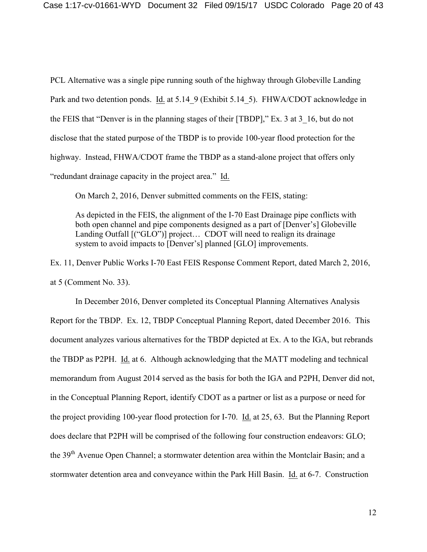PCL Alternative was a single pipe running south of the highway through Globeville Landing Park and two detention ponds. Id. at 5.14\_9 (Exhibit 5.14\_5). FHWA/CDOT acknowledge in the FEIS that "Denver is in the planning stages of their [TBDP]," Ex. 3 at 3\_16, but do not disclose that the stated purpose of the TBDP is to provide 100-year flood protection for the highway. Instead, FHWA/CDOT frame the TBDP as a stand-alone project that offers only "redundant drainage capacity in the project area." Id.

On March 2, 2016, Denver submitted comments on the FEIS, stating:

As depicted in the FEIS, the alignment of the I-70 East Drainage pipe conflicts with both open channel and pipe components designed as a part of [Denver's] Globeville Landing Outfall  $[(``GLO")]$  project... CDOT will need to realign its drainage system to avoid impacts to [Denver's] planned [GLO] improvements.

Ex. 11, Denver Public Works I-70 East FEIS Response Comment Report, dated March 2, 2016, at 5 (Comment No. 33).

In December 2016, Denver completed its Conceptual Planning Alternatives Analysis Report for the TBDP. Ex. 12, TBDP Conceptual Planning Report, dated December 2016. This document analyzes various alternatives for the TBDP depicted at Ex. A to the IGA, but rebrands the TBDP as P2PH. Id. at 6. Although acknowledging that the MATT modeling and technical memorandum from August 2014 served as the basis for both the IGA and P2PH, Denver did not, in the Conceptual Planning Report, identify CDOT as a partner or list as a purpose or need for the project providing 100-year flood protection for I-70. Id. at 25, 63. But the Planning Report does declare that P2PH will be comprised of the following four construction endeavors: GLO; the 39<sup>th</sup> Avenue Open Channel; a stormwater detention area within the Montclair Basin; and a stormwater detention area and conveyance within the Park Hill Basin. Id. at 6-7. Construction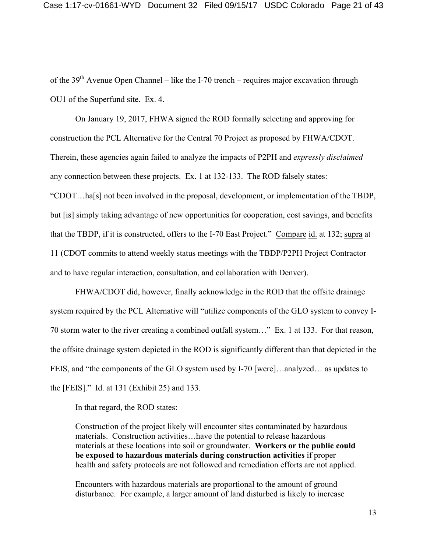of the  $39<sup>th</sup>$  Avenue Open Channel – like the I-70 trench – requires major excavation through OU1 of the Superfund site. Ex. 4.

On January 19, 2017, FHWA signed the ROD formally selecting and approving for construction the PCL Alternative for the Central 70 Project as proposed by FHWA/CDOT. Therein, these agencies again failed to analyze the impacts of P2PH and *expressly disclaimed* any connection between these projects. Ex. 1 at 132-133. The ROD falsely states: "CDOT…ha[s] not been involved in the proposal, development, or implementation of the TBDP, but [is] simply taking advantage of new opportunities for cooperation, cost savings, and benefits that the TBDP, if it is constructed, offers to the I-70 East Project." Compare id. at 132; supra at 11 (CDOT commits to attend weekly status meetings with the TBDP/P2PH Project Contractor and to have regular interaction, consultation, and collaboration with Denver).

FHWA/CDOT did, however, finally acknowledge in the ROD that the offsite drainage system required by the PCL Alternative will "utilize components of the GLO system to convey I-70 storm water to the river creating a combined outfall system…" Ex. 1 at 133. For that reason, the offsite drainage system depicted in the ROD is significantly different than that depicted in the FEIS, and "the components of the GLO system used by I-70 [were]…analyzed… as updates to the [FEIS]." Id. at 131 (Exhibit 25) and 133.

In that regard, the ROD states:

Construction of the project likely will encounter sites contaminated by hazardous materials. Construction activities…have the potential to release hazardous materials at these locations into soil or groundwater. **Workers or the public could be exposed to hazardous materials during construction activities** if proper health and safety protocols are not followed and remediation efforts are not applied.

Encounters with hazardous materials are proportional to the amount of ground disturbance. For example, a larger amount of land disturbed is likely to increase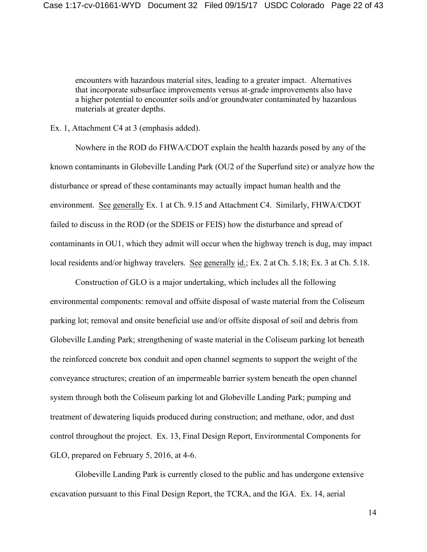encounters with hazardous material sites, leading to a greater impact. Alternatives that incorporate subsurface improvements versus at-grade improvements also have a higher potential to encounter soils and/or groundwater contaminated by hazardous materials at greater depths.

Ex. 1, Attachment C4 at 3 (emphasis added).

Nowhere in the ROD do FHWA/CDOT explain the health hazards posed by any of the known contaminants in Globeville Landing Park (OU2 of the Superfund site) or analyze how the disturbance or spread of these contaminants may actually impact human health and the environment. See generally Ex. 1 at Ch. 9.15 and Attachment C4. Similarly, FHWA/CDOT failed to discuss in the ROD (or the SDEIS or FEIS) how the disturbance and spread of contaminants in OU1, which they admit will occur when the highway trench is dug, may impact local residents and/or highway travelers. See generally id.; Ex. 2 at Ch. 5.18; Ex. 3 at Ch. 5.18.

Construction of GLO is a major undertaking, which includes all the following environmental components: removal and offsite disposal of waste material from the Coliseum parking lot; removal and onsite beneficial use and/or offsite disposal of soil and debris from Globeville Landing Park; strengthening of waste material in the Coliseum parking lot beneath the reinforced concrete box conduit and open channel segments to support the weight of the conveyance structures; creation of an impermeable barrier system beneath the open channel system through both the Coliseum parking lot and Globeville Landing Park; pumping and treatment of dewatering liquids produced during construction; and methane, odor, and dust control throughout the project. Ex. 13, Final Design Report, Environmental Components for GLO, prepared on February 5, 2016, at 4-6.

Globeville Landing Park is currently closed to the public and has undergone extensive excavation pursuant to this Final Design Report, the TCRA, and the IGA. Ex. 14, aerial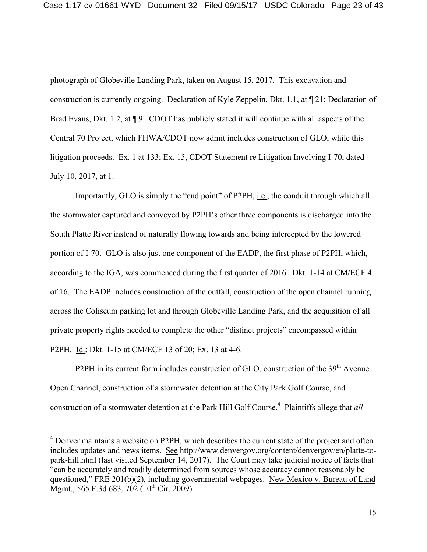photograph of Globeville Landing Park, taken on August 15, 2017. This excavation and construction is currently ongoing. Declaration of Kyle Zeppelin, Dkt. 1.1, at ¶ 21; Declaration of Brad Evans, Dkt. 1.2, at  $\P$  9. CDOT has publicly stated it will continue with all aspects of the Central 70 Project, which FHWA/CDOT now admit includes construction of GLO, while this litigation proceeds. Ex. 1 at 133; Ex. 15, CDOT Statement re Litigation Involving I-70, dated July 10, 2017, at 1.

Importantly, GLO is simply the "end point" of P2PH, i.e., the conduit through which all the stormwater captured and conveyed by P2PH's other three components is discharged into the South Platte River instead of naturally flowing towards and being intercepted by the lowered portion of I-70. GLO is also just one component of the EADP, the first phase of P2PH, which, according to the IGA, was commenced during the first quarter of 2016. Dkt. 1-14 at CM/ECF 4 of 16. The EADP includes construction of the outfall, construction of the open channel running across the Coliseum parking lot and through Globeville Landing Park, and the acquisition of all private property rights needed to complete the other "distinct projects" encompassed within P2PH. Id.; Dkt. 1-15 at CM/ECF 13 of 20; Ex. 13 at 4-6.

P2PH in its current form includes construction of GLO, construction of the 39<sup>th</sup> Avenue Open Channel, construction of a stormwater detention at the City Park Golf Course, and construction of a stormwater detention at the Park Hill Golf Course.<sup>4</sup> Plaintiffs allege that *all* 

<sup>&</sup>lt;sup>4</sup> Denver maintains a website on P2PH, which describes the current state of the project and often includes updates and news items. See http://www.denvergov.org/content/denvergov/en/platte-topark-hill.html (last visited September 14, 2017). The Court may take judicial notice of facts that "can be accurately and readily determined from sources whose accuracy cannot reasonably be questioned," FRE 201(b)(2), including governmental webpages. New Mexico v. Bureau of Land Mgmt., 565 F.3d 683, 702 ( $10^{th}$  Cir. 2009).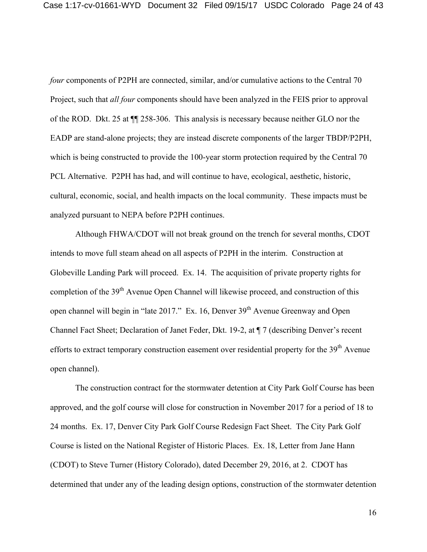*four* components of P2PH are connected, similar, and/or cumulative actions to the Central 70 Project, such that *all four* components should have been analyzed in the FEIS prior to approval of the ROD. Dkt. 25 at ¶¶ 258-306. This analysis is necessary because neither GLO nor the EADP are stand-alone projects; they are instead discrete components of the larger TBDP/P2PH, which is being constructed to provide the 100-year storm protection required by the Central 70 PCL Alternative. P2PH has had, and will continue to have, ecological, aesthetic, historic, cultural, economic, social, and health impacts on the local community. These impacts must be analyzed pursuant to NEPA before P2PH continues.

Although FHWA/CDOT will not break ground on the trench for several months, CDOT intends to move full steam ahead on all aspects of P2PH in the interim. Construction at Globeville Landing Park will proceed. Ex. 14. The acquisition of private property rights for completion of the 39<sup>th</sup> Avenue Open Channel will likewise proceed, and construction of this open channel will begin in "late 2017." Ex. 16, Denver 39<sup>th</sup> Avenue Greenway and Open Channel Fact Sheet; Declaration of Janet Feder, Dkt. 19-2, at ¶ 7 (describing Denver's recent efforts to extract temporary construction easement over residential property for the 39<sup>th</sup> Avenue open channel).

The construction contract for the stormwater detention at City Park Golf Course has been approved, and the golf course will close for construction in November 2017 for a period of 18 to 24 months. Ex. 17, Denver City Park Golf Course Redesign Fact Sheet. The City Park Golf Course is listed on the National Register of Historic Places. Ex. 18, Letter from Jane Hann (CDOT) to Steve Turner (History Colorado), dated December 29, 2016, at 2. CDOT has determined that under any of the leading design options, construction of the stormwater detention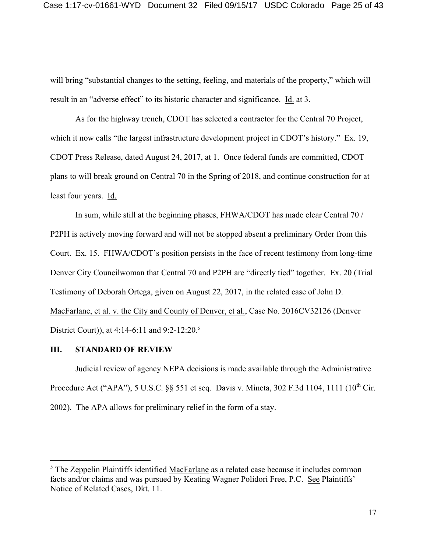will bring "substantial changes to the setting, feeling, and materials of the property," which will result in an "adverse effect" to its historic character and significance. Id. at 3.

As for the highway trench, CDOT has selected a contractor for the Central 70 Project, which it now calls "the largest infrastructure development project in CDOT's history." Ex. 19, CDOT Press Release, dated August 24, 2017, at 1. Once federal funds are committed, CDOT plans to will break ground on Central 70 in the Spring of 2018, and continue construction for at least four years. Id.

In sum, while still at the beginning phases, FHWA/CDOT has made clear Central 70 / P2PH is actively moving forward and will not be stopped absent a preliminary Order from this Court. Ex. 15. FHWA/CDOT's position persists in the face of recent testimony from long-time Denver City Councilwoman that Central 70 and P2PH are "directly tied" together. Ex. 20 (Trial Testimony of Deborah Ortega, given on August 22, 2017, in the related case of John D. MacFarlane, et al. v. the City and County of Denver, et al., Case No. 2016CV32126 (Denver District Court)), at 4:14-6:11 and 9:2-12:20.<sup>5</sup>

## **III. STANDARD OF REVIEW**

Judicial review of agency NEPA decisions is made available through the Administrative Procedure Act ("APA"), 5 U.S.C. §§ 551 et seq. Davis v. Mineta, 302 F.3d 1104, 1111 (10<sup>th</sup> Cir. 2002). The APA allows for preliminary relief in the form of a stay.

 $<sup>5</sup>$  The Zeppelin Plaintiffs identified MacFarlane as a related case because it includes common</sup> facts and/or claims and was pursued by Keating Wagner Polidori Free, P.C. See Plaintiffs' Notice of Related Cases, Dkt. 11.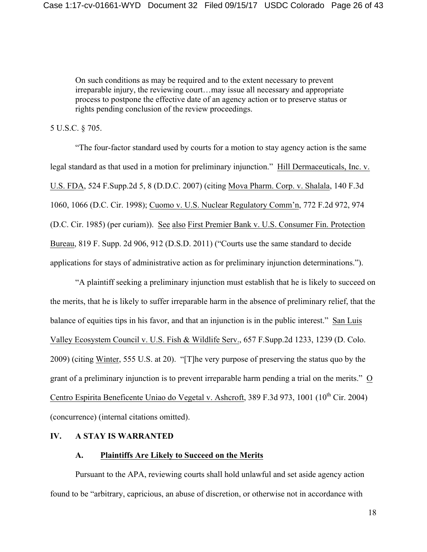On such conditions as may be required and to the extent necessary to prevent irreparable injury, the reviewing court…may issue all necessary and appropriate process to postpone the effective date of an agency action or to preserve status or rights pending conclusion of the review proceedings.

## 5 U.S.C. § 705.

"The four-factor standard used by courts for a motion to stay agency action is the same legal standard as that used in a motion for preliminary injunction." Hill Dermaceuticals, Inc. v. U.S. FDA, 524 F.Supp.2d 5, 8 (D.D.C. 2007) (citing Mova Pharm. Corp. v. Shalala, 140 F.3d 1060, 1066 (D.C. Cir. 1998); Cuomo v. U.S. Nuclear Regulatory Comm'n, 772 F.2d 972, 974 (D.C. Cir. 1985) (per curiam)). See also First Premier Bank v. U.S. Consumer Fin. Protection Bureau, 819 F. Supp. 2d 906, 912 (D.S.D. 2011) ("Courts use the same standard to decide applications for stays of administrative action as for preliminary injunction determinations.").

"A plaintiff seeking a preliminary injunction must establish that he is likely to succeed on the merits, that he is likely to suffer irreparable harm in the absence of preliminary relief, that the balance of equities tips in his favor, and that an injunction is in the public interest." San Luis Valley Ecosystem Council v. U.S. Fish & Wildlife Serv., 657 F.Supp.2d 1233, 1239 (D. Colo. 2009) (citing Winter, 555 U.S. at 20). "[T]he very purpose of preserving the status quo by the grant of a preliminary injunction is to prevent irreparable harm pending a trial on the merits." O Centro Espirita Beneficente Uniao do Vegetal v. Ashcroft, 389 F.3d 973, 1001 (10<sup>th</sup> Cir. 2004) (concurrence) (internal citations omitted).

#### **IV. A STAY IS WARRANTED**

#### **A. Plaintiffs Are Likely to Succeed on the Merits**

Pursuant to the APA, reviewing courts shall hold unlawful and set aside agency action found to be "arbitrary, capricious, an abuse of discretion, or otherwise not in accordance with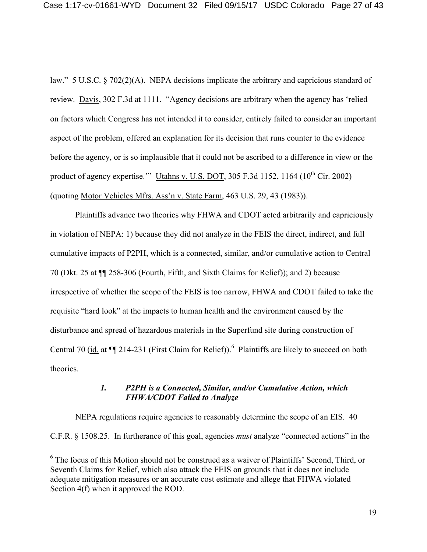law." 5 U.S.C. § 702(2)(A). NEPA decisions implicate the arbitrary and capricious standard of review. Davis, 302 F.3d at 1111. "Agency decisions are arbitrary when the agency has 'relied on factors which Congress has not intended it to consider, entirely failed to consider an important aspect of the problem, offered an explanation for its decision that runs counter to the evidence before the agency, or is so implausible that it could not be ascribed to a difference in view or the product of agency expertise.'" Utahns v. U.S. DOT, 305 F.3d 1152, 1164 ( $10^{th}$  Cir. 2002) (quoting Motor Vehicles Mfrs. Ass'n v. State Farm, 463 U.S. 29, 43 (1983)).

Plaintiffs advance two theories why FHWA and CDOT acted arbitrarily and capriciously in violation of NEPA: 1) because they did not analyze in the FEIS the direct, indirect, and full cumulative impacts of P2PH, which is a connected, similar, and/or cumulative action to Central 70 (Dkt. 25 at ¶¶ 258-306 (Fourth, Fifth, and Sixth Claims for Relief)); and 2) because irrespective of whether the scope of the FEIS is too narrow, FHWA and CDOT failed to take the requisite "hard look" at the impacts to human health and the environment caused by the disturbance and spread of hazardous materials in the Superfund site during construction of Central 70 ( $\underline{id}$  at  $\P$  214-231 (First Claim for Relief)).<sup>6</sup> Plaintiffs are likely to succeed on both theories.

## *1. P2PH is a Connected, Similar, and/or Cumulative Action, which FHWA/CDOT Failed to Analyze*

NEPA regulations require agencies to reasonably determine the scope of an EIS. 40 C.F.R. § 1508.25. In furtherance of this goal, agencies *must* analyze "connected actions" in the

<sup>&</sup>lt;sup>6</sup> The focus of this Motion should not be construed as a waiver of Plaintiffs' Second, Third, or Seventh Claims for Relief, which also attack the FEIS on grounds that it does not include adequate mitigation measures or an accurate cost estimate and allege that FHWA violated Section 4(f) when it approved the ROD.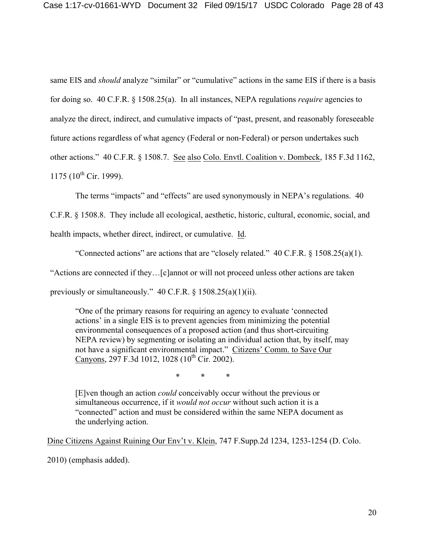same EIS and *should* analyze "similar" or "cumulative" actions in the same EIS if there is a basis for doing so. 40 C.F.R. § 1508.25(a). In all instances, NEPA regulations *require* agencies to analyze the direct, indirect, and cumulative impacts of "past, present, and reasonably foreseeable future actions regardless of what agency (Federal or non-Federal) or person undertakes such other actions." 40 C.F.R. § 1508.7. See also Colo. Envtl. Coalition v. Dombeck, 185 F.3d 1162, 1175 ( $10^{th}$  Cir. 1999).

The terms "impacts" and "effects" are used synonymously in NEPA's regulations. 40

C.F.R. § 1508.8. They include all ecological, aesthetic, historic, cultural, economic, social, and

health impacts, whether direct, indirect, or cumulative. Id.

"Connected actions" are actions that are "closely related."  $40 \text{ C.F.R.}$  §  $1508.25(a)(1)$ . "Actions are connected if they…[c]annot or will not proceed unless other actions are taken

previously or simultaneously." 40 C.F.R. § 1508.25(a)(1)(ii).

"One of the primary reasons for requiring an agency to evaluate 'connected actions' in a single EIS is to prevent agencies from minimizing the potential environmental consequences of a proposed action (and thus short-circuiting NEPA review) by segmenting or isolating an individual action that, by itself, may not have a significant environmental impact." Citizens' Comm. to Save Our Canyons, 297 F.3d 1012, 1028 (10<sup>th</sup> Cir. 2002).

\* \* \*

[E]ven though an action *could* conceivably occur without the previous or simultaneous occurrence, if it *would not occur* without such action it is a "connected" action and must be considered within the same NEPA document as the underlying action.

Dine Citizens Against Ruining Our Env't v. Klein, 747 F.Supp.2d 1234, 1253-1254 (D. Colo.

2010) (emphasis added).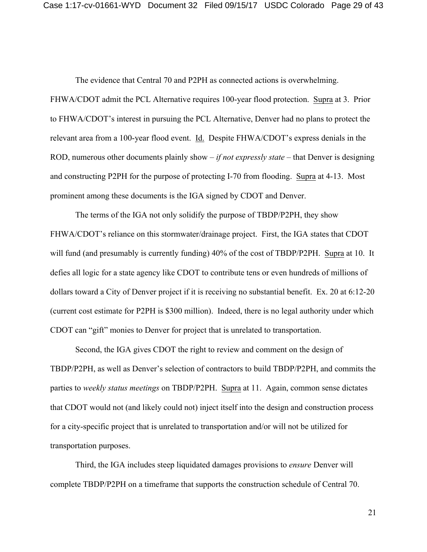The evidence that Central 70 and P2PH as connected actions is overwhelming.

FHWA/CDOT admit the PCL Alternative requires 100-year flood protection. Supra at 3. Prior to FHWA/CDOT's interest in pursuing the PCL Alternative, Denver had no plans to protect the relevant area from a 100-year flood event. Id. Despite FHWA/CDOT's express denials in the ROD, numerous other documents plainly show – *if not expressly state* – that Denver is designing and constructing P2PH for the purpose of protecting I-70 from flooding. Supra at 4-13. Most prominent among these documents is the IGA signed by CDOT and Denver.

The terms of the IGA not only solidify the purpose of TBDP/P2PH, they show FHWA/CDOT's reliance on this stormwater/drainage project. First, the IGA states that CDOT will fund (and presumably is currently funding) 40% of the cost of TBDP/P2PH. Supra at 10. It defies all logic for a state agency like CDOT to contribute tens or even hundreds of millions of dollars toward a City of Denver project if it is receiving no substantial benefit. Ex. 20 at 6:12-20 (current cost estimate for P2PH is \$300 million). Indeed, there is no legal authority under which CDOT can "gift" monies to Denver for project that is unrelated to transportation.

Second, the IGA gives CDOT the right to review and comment on the design of TBDP/P2PH, as well as Denver's selection of contractors to build TBDP/P2PH, and commits the parties to *weekly status meetings* on TBDP/P2PH. Supra at 11. Again, common sense dictates that CDOT would not (and likely could not) inject itself into the design and construction process for a city-specific project that is unrelated to transportation and/or will not be utilized for transportation purposes.

Third, the IGA includes steep liquidated damages provisions to *ensure* Denver will complete TBDP/P2PH on a timeframe that supports the construction schedule of Central 70.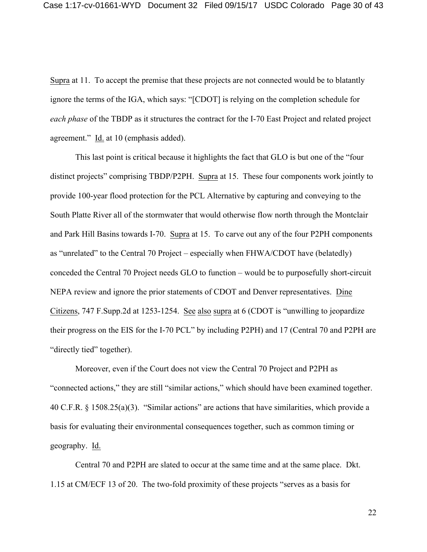Supra at 11. To accept the premise that these projects are not connected would be to blatantly ignore the terms of the IGA, which says: "[CDOT] is relying on the completion schedule for *each phase* of the TBDP as it structures the contract for the I-70 East Project and related project agreement." Id. at 10 (emphasis added).

This last point is critical because it highlights the fact that GLO is but one of the "four distinct projects" comprising TBDP/P2PH. Supra at 15. These four components work jointly to provide 100-year flood protection for the PCL Alternative by capturing and conveying to the South Platte River all of the stormwater that would otherwise flow north through the Montclair and Park Hill Basins towards I-70. Supra at 15. To carve out any of the four P2PH components as "unrelated" to the Central 70 Project – especially when FHWA/CDOT have (belatedly) conceded the Central 70 Project needs GLO to function – would be to purposefully short-circuit NEPA review and ignore the prior statements of CDOT and Denver representatives. Dine Citizens, 747 F.Supp.2d at 1253-1254. See also supra at 6 (CDOT is "unwilling to jeopardize their progress on the EIS for the I-70 PCL" by including P2PH) and 17 (Central 70 and P2PH are "directly tied" together).

Moreover, even if the Court does not view the Central 70 Project and P2PH as "connected actions," they are still "similar actions," which should have been examined together. 40 C.F.R. § 1508.25(a)(3). "Similar actions" are actions that have similarities, which provide a basis for evaluating their environmental consequences together, such as common timing or geography. Id.

Central 70 and P2PH are slated to occur at the same time and at the same place. Dkt. 1.15 at CM/ECF 13 of 20. The two-fold proximity of these projects "serves as a basis for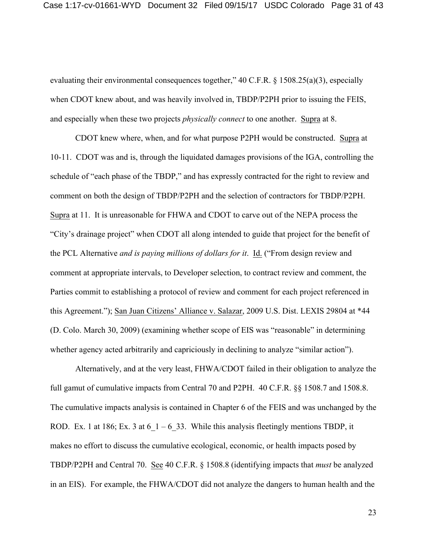evaluating their environmental consequences together," 40 C.F.R. § 1508.25(a)(3), especially when CDOT knew about, and was heavily involved in, TBDP/P2PH prior to issuing the FEIS, and especially when these two projects *physically connect* to one another. Supra at 8.

CDOT knew where, when, and for what purpose P2PH would be constructed. Supra at 10-11. CDOT was and is, through the liquidated damages provisions of the IGA, controlling the schedule of "each phase of the TBDP," and has expressly contracted for the right to review and comment on both the design of TBDP/P2PH and the selection of contractors for TBDP/P2PH. Supra at 11. It is unreasonable for FHWA and CDOT to carve out of the NEPA process the "City's drainage project" when CDOT all along intended to guide that project for the benefit of the PCL Alternative *and is paying millions of dollars for it*. Id. ("From design review and comment at appropriate intervals, to Developer selection, to contract review and comment, the Parties commit to establishing a protocol of review and comment for each project referenced in this Agreement."); San Juan Citizens' Alliance v. Salazar, 2009 U.S. Dist. LEXIS 29804 at \*44 (D. Colo. March 30, 2009) (examining whether scope of EIS was "reasonable" in determining whether agency acted arbitrarily and capriciously in declining to analyze "similar action").

Alternatively, and at the very least, FHWA/CDOT failed in their obligation to analyze the full gamut of cumulative impacts from Central 70 and P2PH. 40 C.F.R. §§ 1508.7 and 1508.8. The cumulative impacts analysis is contained in Chapter 6 of the FEIS and was unchanged by the ROD. Ex. 1 at 186; Ex. 3 at 6  $1 - 6$  33. While this analysis fleetingly mentions TBDP, it makes no effort to discuss the cumulative ecological, economic, or health impacts posed by TBDP/P2PH and Central 70. See 40 C.F.R. § 1508.8 (identifying impacts that *must* be analyzed in an EIS). For example, the FHWA/CDOT did not analyze the dangers to human health and the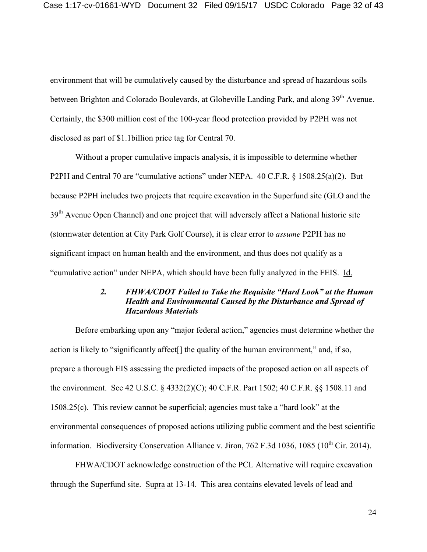environment that will be cumulatively caused by the disturbance and spread of hazardous soils between Brighton and Colorado Boulevards, at Globeville Landing Park, and along 39<sup>th</sup> Avenue. Certainly, the \$300 million cost of the 100-year flood protection provided by P2PH was not disclosed as part of \$1.1billion price tag for Central 70.

Without a proper cumulative impacts analysis, it is impossible to determine whether P2PH and Central 70 are "cumulative actions" under NEPA. 40 C.F.R. § 1508.25(a)(2). But because P2PH includes two projects that require excavation in the Superfund site (GLO and the 39<sup>th</sup> Avenue Open Channel) and one project that will adversely affect a National historic site (stormwater detention at City Park Golf Course), it is clear error to *assume* P2PH has no significant impact on human health and the environment, and thus does not qualify as a "cumulative action" under NEPA, which should have been fully analyzed in the FEIS. Id.

## *2. FHWA/CDOT Failed to Take the Requisite "Hard Look" at the Human Health and Environmental Caused by the Disturbance and Spread of Hazardous Materials*

Before embarking upon any "major federal action," agencies must determine whether the action is likely to "significantly affect[] the quality of the human environment," and, if so, prepare a thorough EIS assessing the predicted impacts of the proposed action on all aspects of the environment. See 42 U.S.C. § 4332(2)(C); 40 C.F.R. Part 1502; 40 C.F.R. §§ 1508.11 and 1508.25(c). This review cannot be superficial; agencies must take a "hard look" at the environmental consequences of proposed actions utilizing public comment and the best scientific information. Biodiversity Conservation Alliance v. Jiron, 762 F.3d 1036, 1085 ( $10^{th}$  Cir. 2014).

FHWA/CDOT acknowledge construction of the PCL Alternative will require excavation through the Superfund site. Supra at 13-14. This area contains elevated levels of lead and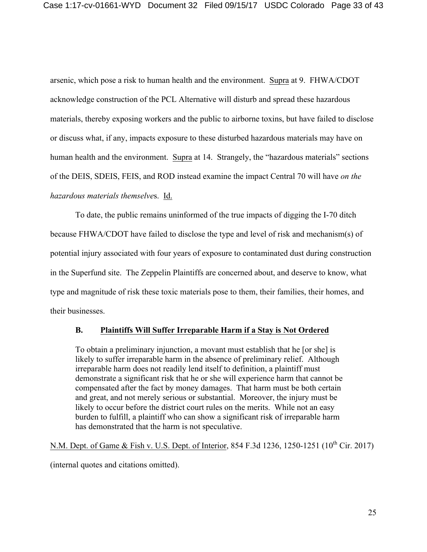arsenic, which pose a risk to human health and the environment. Supra at 9. FHWA/CDOT acknowledge construction of the PCL Alternative will disturb and spread these hazardous materials, thereby exposing workers and the public to airborne toxins, but have failed to disclose or discuss what, if any, impacts exposure to these disturbed hazardous materials may have on human health and the environment. Supra at 14. Strangely, the "hazardous materials" sections of the DEIS, SDEIS, FEIS, and ROD instead examine the impact Central 70 will have *on the hazardous materials themselve*s. Id.

To date, the public remains uninformed of the true impacts of digging the I-70 ditch because FHWA/CDOT have failed to disclose the type and level of risk and mechanism(s) of potential injury associated with four years of exposure to contaminated dust during construction in the Superfund site. The Zeppelin Plaintiffs are concerned about, and deserve to know, what type and magnitude of risk these toxic materials pose to them, their families, their homes, and their businesses.

## **B. Plaintiffs Will Suffer Irreparable Harm if a Stay is Not Ordered**

To obtain a preliminary injunction, a movant must establish that he [or she] is likely to suffer irreparable harm in the absence of preliminary relief. Although irreparable harm does not readily lend itself to definition, a plaintiff must demonstrate a significant risk that he or she will experience harm that cannot be compensated after the fact by money damages. That harm must be both certain and great, and not merely serious or substantial. Moreover, the injury must be likely to occur before the district court rules on the merits. While not an easy burden to fulfill, a plaintiff who can show a significant risk of irreparable harm has demonstrated that the harm is not speculative.

N.M. Dept. of Game & Fish v. U.S. Dept. of Interior, 854 F.3d 1236, 1250-1251 (10<sup>th</sup> Cir. 2017) (internal quotes and citations omitted).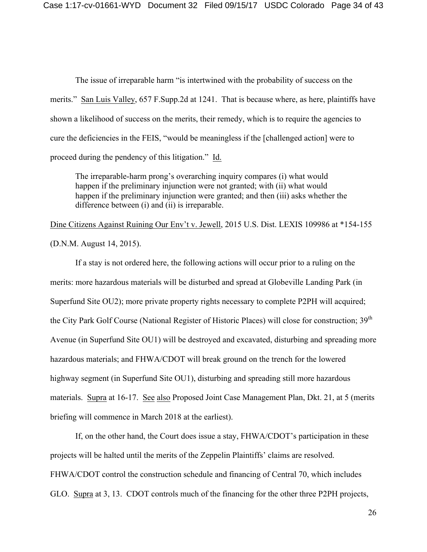The issue of irreparable harm "is intertwined with the probability of success on the merits." San Luis Valley, 657 F.Supp.2d at 1241. That is because where, as here, plaintiffs have shown a likelihood of success on the merits, their remedy, which is to require the agencies to cure the deficiencies in the FEIS, "would be meaningless if the [challenged action] were to proceed during the pendency of this litigation." Id.

The irreparable-harm prong's overarching inquiry compares (i) what would happen if the preliminary injunction were not granted; with (ii) what would happen if the preliminary injunction were granted; and then (iii) asks whether the difference between (i) and (ii) is irreparable.

Dine Citizens Against Ruining Our Env't v. Jewell, 2015 U.S. Dist. LEXIS 109986 at \*154-155 (D.N.M. August 14, 2015).

If a stay is not ordered here, the following actions will occur prior to a ruling on the merits: more hazardous materials will be disturbed and spread at Globeville Landing Park (in Superfund Site OU2); more private property rights necessary to complete P2PH will acquired; the City Park Golf Course (National Register of Historic Places) will close for construction; 39<sup>th</sup> Avenue (in Superfund Site OU1) will be destroyed and excavated, disturbing and spreading more hazardous materials; and FHWA/CDOT will break ground on the trench for the lowered highway segment (in Superfund Site OU1), disturbing and spreading still more hazardous materials. Supra at 16-17. See also Proposed Joint Case Management Plan, Dkt. 21, at 5 (merits briefing will commence in March 2018 at the earliest).

If, on the other hand, the Court does issue a stay, FHWA/CDOT's participation in these projects will be halted until the merits of the Zeppelin Plaintiffs' claims are resolved. FHWA/CDOT control the construction schedule and financing of Central 70, which includes GLO. Supra at 3, 13. CDOT controls much of the financing for the other three P2PH projects,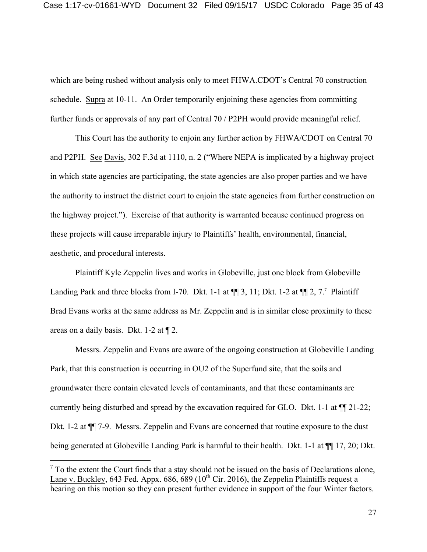which are being rushed without analysis only to meet FHWA.CDOT's Central 70 construction schedule. Supra at 10-11. An Order temporarily enjoining these agencies from committing further funds or approvals of any part of Central 70 / P2PH would provide meaningful relief.

This Court has the authority to enjoin any further action by FHWA/CDOT on Central 70 and P2PH. See Davis, 302 F.3d at 1110, n. 2 ("Where NEPA is implicated by a highway project in which state agencies are participating, the state agencies are also proper parties and we have the authority to instruct the district court to enjoin the state agencies from further construction on the highway project."). Exercise of that authority is warranted because continued progress on these projects will cause irreparable injury to Plaintiffs' health, environmental, financial, aesthetic, and procedural interests.

Plaintiff Kyle Zeppelin lives and works in Globeville, just one block from Globeville Landing Park and three blocks from I-70. Dkt. 1-1 at  $\P$  3, 11; Dkt. 1-2 at  $\P$  2, 7.<sup>7</sup> Plaintiff Brad Evans works at the same address as Mr. Zeppelin and is in similar close proximity to these areas on a daily basis. Dkt. 1-2 at ¶ 2.

Messrs. Zeppelin and Evans are aware of the ongoing construction at Globeville Landing Park, that this construction is occurring in OU2 of the Superfund site, that the soils and groundwater there contain elevated levels of contaminants, and that these contaminants are currently being disturbed and spread by the excavation required for GLO. Dkt. 1-1 at ¶¶ 21-22; Dkt. 1-2 at ¶¶ 7-9. Messrs. Zeppelin and Evans are concerned that routine exposure to the dust being generated at Globeville Landing Park is harmful to their health. Dkt. 1-1 at ¶¶ 17, 20; Dkt.

 $<sup>7</sup>$  To the extent the Court finds that a stay should not be issued on the basis of Declarations alone,</sup> Lane v. Buckley, 643 Fed. Appx. 686, 689 ( $10^{th}$  Cir. 2016), the Zeppelin Plaintiffs request a hearing on this motion so they can present further evidence in support of the four Winter factors.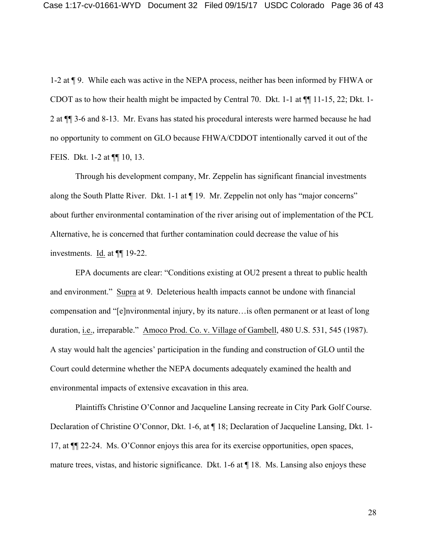1-2 at ¶ 9. While each was active in the NEPA process, neither has been informed by FHWA or CDOT as to how their health might be impacted by Central 70. Dkt. 1-1 at ¶¶ 11-15, 22; Dkt. 1- 2 at ¶¶ 3-6 and 8-13. Mr. Evans has stated his procedural interests were harmed because he had no opportunity to comment on GLO because FHWA/CDDOT intentionally carved it out of the FEIS. Dkt. 1-2 at ¶¶ 10, 13.

Through his development company, Mr. Zeppelin has significant financial investments along the South Platte River. Dkt. 1-1 at ¶ 19. Mr. Zeppelin not only has "major concerns" about further environmental contamination of the river arising out of implementation of the PCL Alternative, he is concerned that further contamination could decrease the value of his investments. Id. at ¶¶ 19-22.

EPA documents are clear: "Conditions existing at OU2 present a threat to public health and environment." Supra at 9. Deleterious health impacts cannot be undone with financial compensation and "[e]nvironmental injury, by its nature…is often permanent or at least of long duration, i.e., irreparable." Amoco Prod. Co. v. Village of Gambell, 480 U.S. 531, 545 (1987). A stay would halt the agencies' participation in the funding and construction of GLO until the Court could determine whether the NEPA documents adequately examined the health and environmental impacts of extensive excavation in this area.

Plaintiffs Christine O'Connor and Jacqueline Lansing recreate in City Park Golf Course. Declaration of Christine O'Connor, Dkt. 1-6, at ¶ 18; Declaration of Jacqueline Lansing, Dkt. 1- 17, at ¶¶ 22-24. Ms. O'Connor enjoys this area for its exercise opportunities, open spaces, mature trees, vistas, and historic significance. Dkt. 1-6 at ¶ 18. Ms. Lansing also enjoys these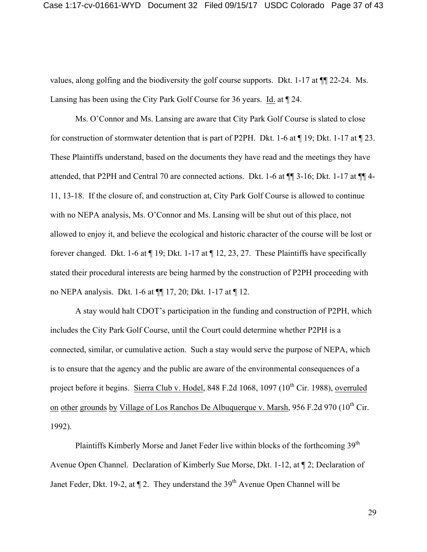values, along golfing and the biodiversity the golf course supports. Dkt. 1-17 at ¶¶ 22-24. Ms. Lansing has been using the City Park Golf Course for 36 years. Id. at  $\P$  24.

Ms. O'Connor and Ms. Lansing are aware that City Park Golf Course is slated to close for construction of stormwater detention that is part of P2PH. Dkt. 1-6 at ¶ 19; Dkt. 1-17 at ¶ 23. These Plaintiffs understand, based on the documents they have read and the meetings they have attended, that P2PH and Central 70 are connected actions. Dkt. 1-6 at ¶¶ 3-16; Dkt. 1-17 at ¶¶ 4- 11, 13-18. If the closure of, and construction at, City Park Golf Course is allowed to continue with no NEPA analysis, Ms. O'Connor and Ms. Lansing will be shut out of this place, not allowed to enjoy it, and believe the ecological and historic character of the course will be lost or forever changed. Dkt. 1-6 at ¶ 19; Dkt. 1-17 at ¶ 12, 23, 27. These Plaintiffs have specifically stated their procedural interests are being harmed by the construction of P2PH proceeding with no NEPA analysis. Dkt. 1-6 at ¶¶ 17, 20; Dkt. 1-17 at ¶ 12.

A stay would halt CDOT's participation in the funding and construction of P2PH, which includes the City Park Golf Course, until the Court could determine whether P2PH is a connected, similar, or cumulative action. Such a stay would serve the purpose of NEPA, which is to ensure that the agency and the public are aware of the environmental consequences of a project before it begins. Sierra Club v. Hodel, 848 F.2d 1068, 1097 (10<sup>th</sup> Cir. 1988), overruled on other grounds by Village of Los Ranchos De Albuquerque v. Marsh, 956 F.2d 970 (10<sup>th</sup> Cir. 1992).

Plaintiffs Kimberly Morse and Janet Feder live within blocks of the forthcoming 39<sup>th</sup> Avenue Open Channel. Declaration of Kimberly Sue Morse, Dkt. 1-12, at ¶ 2; Declaration of Janet Feder, Dkt. 19-2, at  $\P$  2. They understand the 39<sup>th</sup> Avenue Open Channel will be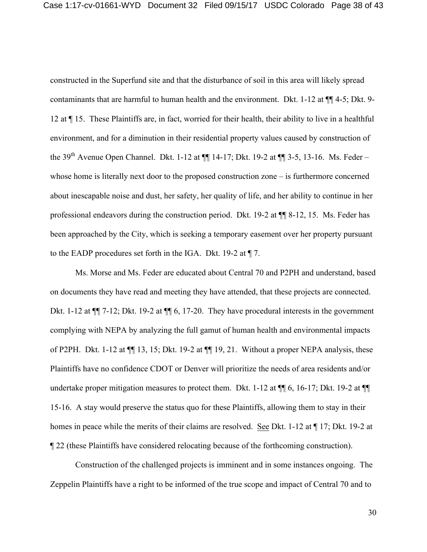constructed in the Superfund site and that the disturbance of soil in this area will likely spread contaminants that are harmful to human health and the environment. Dkt. 1-12 at ¶¶ 4-5; Dkt. 9- 12 at ¶ 15. These Plaintiffs are, in fact, worried for their health, their ability to live in a healthful environment, and for a diminution in their residential property values caused by construction of the 39<sup>th</sup> Avenue Open Channel. Dkt. 1-12 at  $\P\P$  14-17; Dkt. 19-2 at  $\P\P$  3-5, 13-16. Ms. Feder – whose home is literally next door to the proposed construction zone – is furthermore concerned about inescapable noise and dust, her safety, her quality of life, and her ability to continue in her professional endeavors during the construction period. Dkt. 19-2 at ¶¶ 8-12, 15. Ms. Feder has been approached by the City, which is seeking a temporary easement over her property pursuant to the EADP procedures set forth in the IGA. Dkt. 19-2 at ¶ 7.

Ms. Morse and Ms. Feder are educated about Central 70 and P2PH and understand, based on documents they have read and meeting they have attended, that these projects are connected. Dkt. 1-12 at  $\P$  7-12; Dkt. 19-2 at  $\P$  6, 17-20. They have procedural interests in the government complying with NEPA by analyzing the full gamut of human health and environmental impacts of P2PH. Dkt. 1-12 at ¶¶ 13, 15; Dkt. 19-2 at ¶¶ 19, 21. Without a proper NEPA analysis, these Plaintiffs have no confidence CDOT or Denver will prioritize the needs of area residents and/or undertake proper mitigation measures to protect them. Dkt. 1-12 at  $\P$  6, 16-17; Dkt. 19-2 at  $\P$ 15-16. A stay would preserve the status quo for these Plaintiffs, allowing them to stay in their homes in peace while the merits of their claims are resolved. See Dkt. 1-12 at ¶ 17; Dkt. 19-2 at ¶ 22 (these Plaintiffs have considered relocating because of the forthcoming construction).

Construction of the challenged projects is imminent and in some instances ongoing. The Zeppelin Plaintiffs have a right to be informed of the true scope and impact of Central 70 and to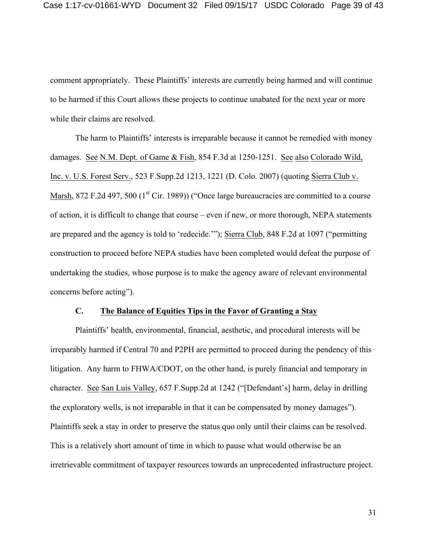comment appropriately. These Plaintiffs' interests are currently being harmed and will continue to be harmed if this Court allows these projects to continue unabated for the next year or more while their claims are resolved.

The harm to Plaintiffs' interests is irreparable because it cannot be remedied with money damages. See N.M. Dept. of Game & Fish, 854 F.3d at 1250-1251. See also Colorado Wild, Inc. v. U.S. Forest Serv., 523 F.Supp.2d 1213, 1221 (D. Colo. 2007) (quoting Sierra Club v. Marsh, 872 F.2d 497, 500 ( $1<sup>st</sup>$  Cir. 1989)) ("Once large bureaucracies are committed to a course of action, it is difficult to change that course – even if new, or more thorough, NEPA statements are prepared and the agency is told to 'redecide.'"); Sierra Club, 848 F.2d at 1097 ("permitting construction to proceed before NEPA studies have been completed would defeat the purpose of undertaking the studies, whose purpose is to make the agency aware of relevant environmental concerns before acting").

#### **C. The Balance of Equities Tips in the Favor of Granting a Stay**

Plaintiffs' health, environmental, financial, aesthetic, and procedural interests will be irreparably harmed if Central 70 and P2PH are permitted to proceed during the pendency of this litigation. Any harm to FHWA/CDOT, on the other hand, is purely financial and temporary in character. See San Luis Valley, 657 F.Supp.2d at 1242 ("[Defendant's] harm, delay in drilling the exploratory wells, is not irreparable in that it can be compensated by money damages"). Plaintiffs seek a stay in order to preserve the status quo only until their claims can be resolved. This is a relatively short amount of time in which to pause what would otherwise be an irretrievable commitment of taxpayer resources towards an unprecedented infrastructure project.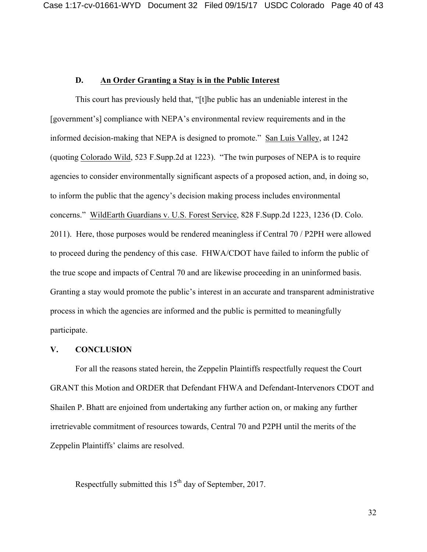## **D. An Order Granting a Stay is in the Public Interest**

This court has previously held that, "[t]he public has an undeniable interest in the [government's] compliance with NEPA's environmental review requirements and in the informed decision-making that NEPA is designed to promote." San Luis Valley, at 1242 (quoting Colorado Wild, 523 F.Supp.2d at 1223). "The twin purposes of NEPA is to require agencies to consider environmentally significant aspects of a proposed action, and, in doing so, to inform the public that the agency's decision making process includes environmental concerns." WildEarth Guardians v. U.S. Forest Service, 828 F.Supp.2d 1223, 1236 (D. Colo. 2011). Here, those purposes would be rendered meaningless if Central 70 / P2PH were allowed to proceed during the pendency of this case. FHWA/CDOT have failed to inform the public of the true scope and impacts of Central 70 and are likewise proceeding in an uninformed basis. Granting a stay would promote the public's interest in an accurate and transparent administrative process in which the agencies are informed and the public is permitted to meaningfully participate.

#### **V. CONCLUSION**

For all the reasons stated herein, the Zeppelin Plaintiffs respectfully request the Court GRANT this Motion and ORDER that Defendant FHWA and Defendant-Intervenors CDOT and Shailen P. Bhatt are enjoined from undertaking any further action on, or making any further irretrievable commitment of resources towards, Central 70 and P2PH until the merits of the Zeppelin Plaintiffs' claims are resolved.

Respectfully submitted this  $15<sup>th</sup>$  day of September, 2017.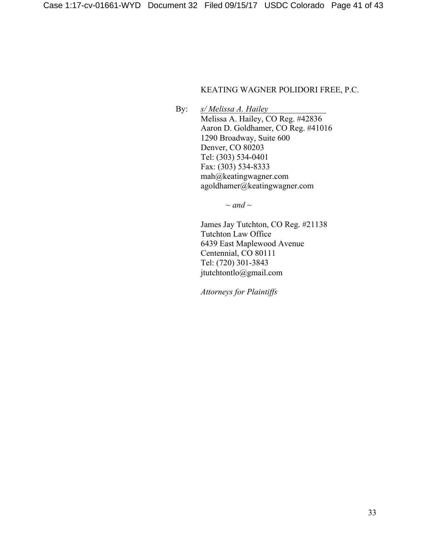## KEATING WAGNER POLIDORI FREE, P.C.

By: *s/ Melissa A. Hailey* Melissa A. Hailey, CO Reg. #42836 Aaron D. Goldhamer, CO Reg. #41016 1290 Broadway, Suite 600 Denver, CO 80203 Tel: (303) 534-0401 Fax: (303) 534-8333 mah@keatingwagner.com agoldhamer@keatingwagner.com

*~ and ~*

James Jay Tutchton, CO Reg. #21138 Tutchton Law Office 6439 East Maplewood Avenue Centennial, CO 80111 Tel: (720) 301-3843 jtutchtontlo@gmail.com

*Attorneys for Plaintiffs*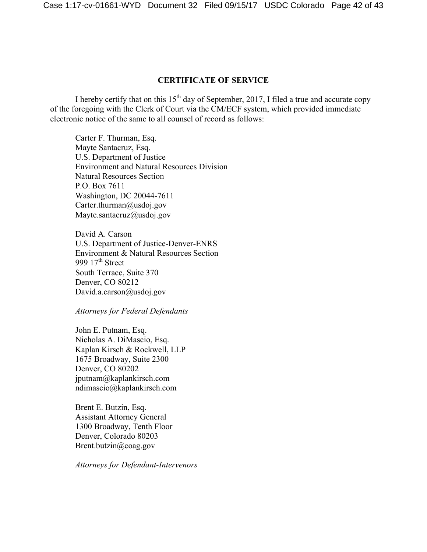#### **CERTIFICATE OF SERVICE**

I hereby certify that on this  $15<sup>th</sup>$  day of September, 2017, I filed a true and accurate copy of the foregoing with the Clerk of Court via the CM/ECF system, which provided immediate electronic notice of the same to all counsel of record as follows:

Carter F. Thurman, Esq. Mayte Santacruz, Esq. U.S. Department of Justice Environment and Natural Resources Division Natural Resources Section P.O. Box 7611 Washington, DC 20044-7611 Carter.thurman@usdoj.gov Mayte.santacruz@usdoj.gov

David A. Carson U.S. Department of Justice-Denver-ENRS Environment & Natural Resources Section 999  $17<sup>th</sup>$  Street South Terrace, Suite 370 Denver, CO 80212 David.a.carson@usdoj.gov

#### *Attorneys for Federal Defendants*

John E. Putnam, Esq. Nicholas A. DiMascio, Esq. Kaplan Kirsch & Rockwell, LLP 1675 Broadway, Suite 2300 Denver, CO 80202 jputnam@kaplankirsch.com ndimascio@kaplankirsch.com

Brent E. Butzin, Esq. Assistant Attorney General 1300 Broadway, Tenth Floor Denver, Colorado 80203 Brent.butzin@coag.gov

*Attorneys for Defendant-Intervenors*